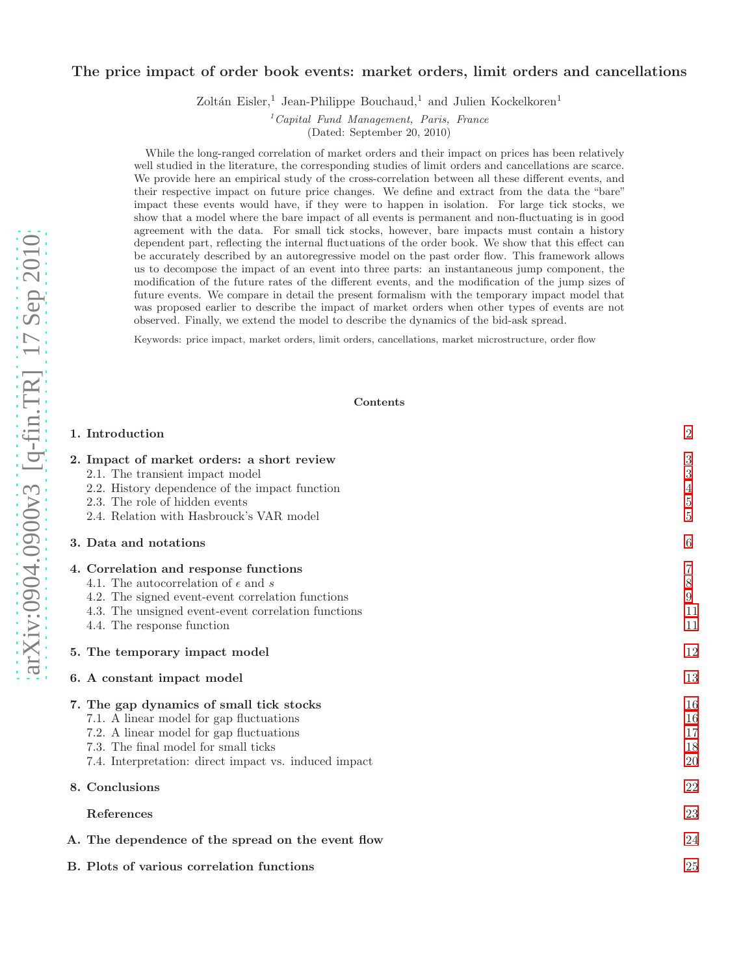# The price impact of order book events: market orders, limit orders and cancellations

Zoltán Eisler,<sup>1</sup> Jean-Philippe Bouchaud,<sup>1</sup> and Julien Kockelkoren<sup>1</sup>

 ${}^{1}$ Capital Fund Management, Paris, France

(Dated: September 20, 2010)

While the long-ranged correlation of market orders and their impact on prices has been relatively well studied in the literature, the corresponding studies of limit orders and cancellations are scarce. We provide here an empirical study of the cross-correlation between all these different events, and their respective impact on future price changes. We define and extract from the data the "bare" impact these events would have, if they were to happen in isolation. For large tick stocks, we show that a model where the bare impact of all events is permanent and non-fluctuating is in good agreement with the data. For small tick stocks, however, bare impacts must contain a history dependent part, reflecting the internal fluctuations of the order book. We show that this effect can be accurately described by an autoregressive model on the past order flow. This framework allows us to decompose the impact of an event into three parts: an instantaneous jump component, the modification of the future rates of the different events, and the modification of the jump sizes of future events. We compare in detail the present formalism with the temporary impact model that was proposed earlier to describe the impact of market orders when other types of events are not observed. Finally, we extend the model to describe the dynamics of the bid-ask spread.

Keywords: price impact, market orders, limit orders, cancellations, market microstructure, order flow

#### Contents

| 1. Introduction                                                                                                                                                                                                                   | $\overline{2}$                                    |
|-----------------------------------------------------------------------------------------------------------------------------------------------------------------------------------------------------------------------------------|---------------------------------------------------|
| 2. Impact of market orders: a short review<br>2.1. The transient impact model<br>2.2. History dependence of the impact function<br>2.3. The role of hidden events<br>2.4. Relation with Hasbrouck's VAR model                     | 3<br>$\sqrt{3}$<br>4<br>$\bf 5$<br>$\overline{5}$ |
| 3. Data and notations                                                                                                                                                                                                             | 6                                                 |
| 4. Correlation and response functions<br>4.1. The autocorrelation of $\epsilon$ and s<br>4.2. The signed event-event correlation functions<br>4.3. The unsigned event-event correlation functions<br>4.4. The response function   | 7<br>$8\,$<br>$\boldsymbol{9}$<br>11<br>11        |
| 5. The temporary impact model                                                                                                                                                                                                     | 12                                                |
| 6. A constant impact model                                                                                                                                                                                                        | 13                                                |
| 7. The gap dynamics of small tick stocks<br>7.1. A linear model for gap fluctuations<br>7.2. A linear model for gap fluctuations<br>7.3. The final model for small ticks<br>7.4. Interpretation: direct impact vs. induced impact | 16<br>16<br>17<br>18<br>20                        |
| 8. Conclusions                                                                                                                                                                                                                    | 22                                                |
| References                                                                                                                                                                                                                        | 23                                                |
| A. The dependence of the spread on the event flow                                                                                                                                                                                 | 24                                                |
| B. Plots of various correlation functions                                                                                                                                                                                         | 25                                                |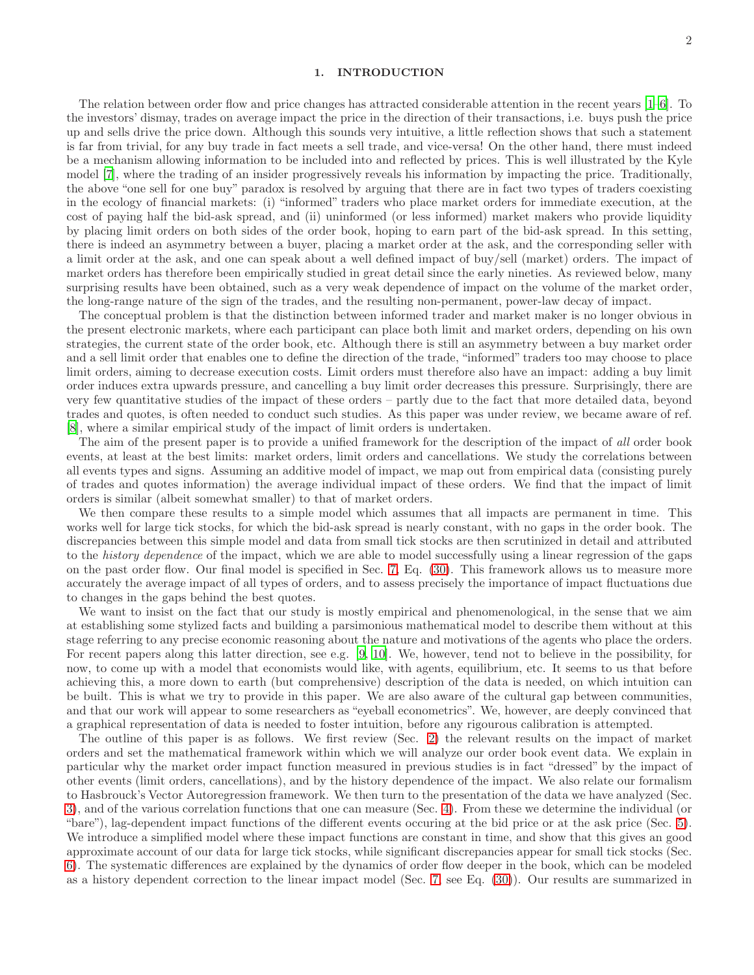### <span id="page-1-0"></span>1. INTRODUCTION

The relation between order flow and price changes has attracted considerable attention in the recent years [\[1](#page-22-1)[–6\]](#page-22-2). To the investors' dismay, trades on average impact the price in the direction of their transactions, i.e. buys push the price up and sells drive the price down. Although this sounds very intuitive, a little reflection shows that such a statement is far from trivial, for any buy trade in fact meets a sell trade, and vice-versa! On the other hand, there must indeed be a mechanism allowing information to be included into and reflected by prices. This is well illustrated by the Kyle model [\[7](#page-22-3)], where the trading of an insider progressively reveals his information by impacting the price. Traditionally, the above "one sell for one buy" paradox is resolved by arguing that there are in fact two types of traders coexisting in the ecology of financial markets: (i) "informed" traders who place market orders for immediate execution, at the cost of paying half the bid-ask spread, and (ii) uninformed (or less informed) market makers who provide liquidity by placing limit orders on both sides of the order book, hoping to earn part of the bid-ask spread. In this setting, there is indeed an asymmetry between a buyer, placing a market order at the ask, and the corresponding seller with a limit order at the ask, and one can speak about a well defined impact of buy/sell (market) orders. The impact of market orders has therefore been empirically studied in great detail since the early nineties. As reviewed below, many surprising results have been obtained, such as a very weak dependence of impact on the volume of the market order, the long-range nature of the sign of the trades, and the resulting non-permanent, power-law decay of impact.

The conceptual problem is that the distinction between informed trader and market maker is no longer obvious in the present electronic markets, where each participant can place both limit and market orders, depending on his own strategies, the current state of the order book, etc. Although there is still an asymmetry between a buy market order and a sell limit order that enables one to define the direction of the trade, "informed" traders too may choose to place limit orders, aiming to decrease execution costs. Limit orders must therefore also have an impact: adding a buy limit order induces extra upwards pressure, and cancelling a buy limit order decreases this pressure. Surprisingly, there are very few quantitative studies of the impact of these orders – partly due to the fact that more detailed data, beyond trades and quotes, is often needed to conduct such studies. As this paper was under review, we became aware of ref. [\[8\]](#page-22-4), where a similar empirical study of the impact of limit orders is undertaken.

The aim of the present paper is to provide a unified framework for the description of the impact of all order book events, at least at the best limits: market orders, limit orders and cancellations. We study the correlations between all events types and signs. Assuming an additive model of impact, we map out from empirical data (consisting purely of trades and quotes information) the average individual impact of these orders. We find that the impact of limit orders is similar (albeit somewhat smaller) to that of market orders.

We then compare these results to a simple model which assumes that all impacts are permanent in time. This works well for large tick stocks, for which the bid-ask spread is nearly constant, with no gaps in the order book. The discrepancies between this simple model and data from small tick stocks are then scrutinized in detail and attributed to the *history dependence* of the impact, which we are able to model successfully using a linear regression of the gaps on the past order flow. Our final model is specified in Sec. [7,](#page-15-0) Eq. [\(30\)](#page-17-1). This framework allows us to measure more accurately the average impact of all types of orders, and to assess precisely the importance of impact fluctuations due to changes in the gaps behind the best quotes.

We want to insist on the fact that our study is mostly empirical and phenomenological, in the sense that we aim at establishing some stylized facts and building a parsimonious mathematical model to describe them without at this stage referring to any precise economic reasoning about the nature and motivations of the agents who place the orders. For recent papers along this latter direction, see e.g. [\[9,](#page-22-5) [10\]](#page-22-6). We, however, tend not to believe in the possibility, for now, to come up with a model that economists would like, with agents, equilibrium, etc. It seems to us that before achieving this, a more down to earth (but comprehensive) description of the data is needed, on which intuition can be built. This is what we try to provide in this paper. We are also aware of the cultural gap between communities, and that our work will appear to some researchers as "eyeball econometrics". We, however, are deeply convinced that a graphical representation of data is needed to foster intuition, before any rigourous calibration is attempted.

The outline of this paper is as follows. We first review (Sec. [2\)](#page-2-0) the relevant results on the impact of market orders and set the mathematical framework within which we will analyze our order book event data. We explain in particular why the market order impact function measured in previous studies is in fact "dressed" by the impact of other events (limit orders, cancellations), and by the history dependence of the impact. We also relate our formalism to Hasbrouck's Vector Autoregression framework. We then turn to the presentation of the data we have analyzed (Sec. [3\)](#page-5-0), and of the various correlation functions that one can measure (Sec. [4\)](#page-6-0). From these we determine the individual (or "bare"), lag-dependent impact functions of the different events occuring at the bid price or at the ask price (Sec. [5\)](#page-11-0). We introduce a simplified model where these impact functions are constant in time, and show that this gives an good approximate account of our data for large tick stocks, while significant discrepancies appear for small tick stocks (Sec. [6\)](#page-12-0). The systematic differences are explained by the dynamics of order flow deeper in the book, which can be modeled as a history dependent correction to the linear impact model (Sec. [7,](#page-15-0) see Eq. [\(30\)](#page-17-1)). Our results are summarized in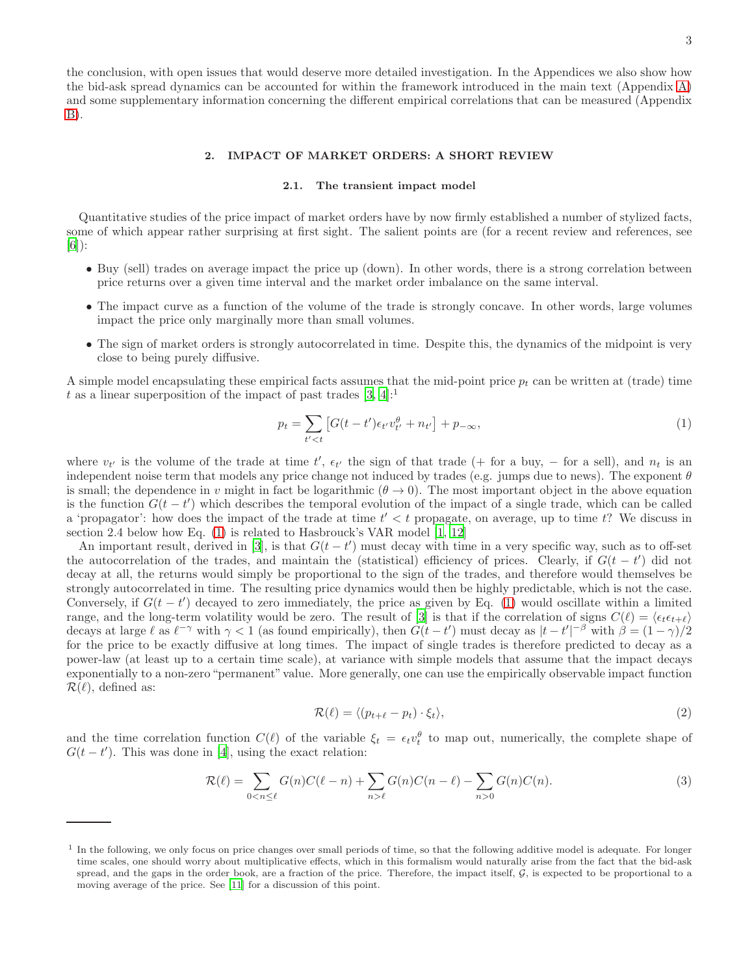the conclusion, with open issues that would deserve more detailed investigation. In the Appendices we also show how the bid-ask spread dynamics can be accounted for within the framework introduced in the main text (Appendix [A\)](#page-23-0) and some supplementary information concerning the different empirical correlations that can be measured (Appendix  $B$ ).

## <span id="page-2-0"></span>2. IMPACT OF MARKET ORDERS: A SHORT REVIEW

#### <span id="page-2-1"></span>2.1. The transient impact model

Quantitative studies of the price impact of market orders have by now firmly established a number of stylized facts, some of which appear rather surprising at first sight. The salient points are (for a recent review and references, see  $|6|$ ):

- Buy (sell) trades on average impact the price up (down). In other words, there is a strong correlation between price returns over a given time interval and the market order imbalance on the same interval.
- The impact curve as a function of the volume of the trade is strongly concave. In other words, large volumes impact the price only marginally more than small volumes.
- The sign of market orders is strongly autocorrelated in time. Despite this, the dynamics of the midpoint is very close to being purely diffusive.

A simple model encapsulating these empirical facts assumes that the mid-point price  $p_t$  can be written at (trade) time t as a linear superposition of the impact of past trades  $[3, 4]$  $[3, 4]$ :

<span id="page-2-2"></span>
$$
p_t = \sum_{t' < t} \left[ G(t - t') \epsilon_{t'} v_{t'}^\theta + n_{t'} \right] + p_{-\infty},\tag{1}
$$

where  $v_{t'}$  is the volume of the trade at time  $t'$ ,  $\epsilon_{t'}$  the sign of that trade (+ for a buy, - for a sell), and  $n_t$  is an independent noise term that models any price change not induced by trades (e.g. jumps due to news). The exponent  $\theta$ is small; the dependence in v might in fact be logarithmic  $(\theta \to 0)$ . The most important object in the above equation is the function  $G(t-t')$  which describes the temporal evolution of the impact of a single trade, which can be called a 'propagator': how does the impact of the trade at time  $t' < t$  propagate, on average, up to time t? We discuss in section 2.4 below how Eq. [\(1\)](#page-2-2) is related to Hasbrouck's VAR model [\[1](#page-22-1), [12\]](#page-22-9)

An important result, derived in [\[3\]](#page-22-7), is that  $G(t-t')$  must decay with time in a very specific way, such as to off-set the autocorrelation of the trades, and maintain the (statistical) efficiency of prices. Clearly, if  $G(t-t')$  did not decay at all, the returns would simply be proportional to the sign of the trades, and therefore would themselves be strongly autocorrelated in time. The resulting price dynamics would then be highly predictable, which is not the case. Conversely, if  $G(t-t')$  decayed to zero immediately, the price as given by Eq. [\(1\)](#page-2-2) would oscillate within a limited range, and the long-term volatility would be zero. The result of [\[3](#page-22-7)] is that if the correlation of signs  $C(\ell) = \langle \epsilon_t \epsilon_{t+\ell} \rangle$ decays at large  $\ell$  as  $\ell^{-\gamma}$  with  $\gamma < 1$  (as found empirically), then  $G(t-t')$  must decay as  $|t-t'|^{-\beta}$  with  $\beta = (1-\gamma)/2$ for the price to be exactly diffusive at long times. The impact of single trades is therefore predicted to decay as a power-law (at least up to a certain time scale), at variance with simple models that assume that the impact decays exponentially to a non-zero "permanent" value. More generally, one can use the empirically observable impact function  $\mathcal{R}(\ell)$ , defined as:

$$
\mathcal{R}(\ell) = \langle (p_{t+\ell} - p_t) \cdot \xi_t \rangle, \tag{2}
$$

and the time correlation function  $C(\ell)$  of the variable  $\xi_t = \epsilon_t v_t^{\theta}$  to map out, numerically, the complete shape of  $G(t-t')$ . This was done in [\[4\]](#page-22-8), using the exact relation:

<span id="page-2-3"></span>
$$
\mathcal{R}(\ell) = \sum_{0 < n \le \ell} G(n)C(\ell - n) + \sum_{n > \ell} G(n)C(n - \ell) - \sum_{n > 0} G(n)C(n). \tag{3}
$$

<sup>&</sup>lt;sup>1</sup> In the following, we only focus on price changes over small periods of time, so that the following additive model is adequate. For longer time scales, one should worry about multiplicative effects, which in this formalism would naturally arise from the fact that the bid-ask spread, and the gaps in the order book, are a fraction of the price. Therefore, the impact itself,  $G$ , is expected to be proportional to a moving average of the price. See [\[11](#page-22-10)] for a discussion of this point.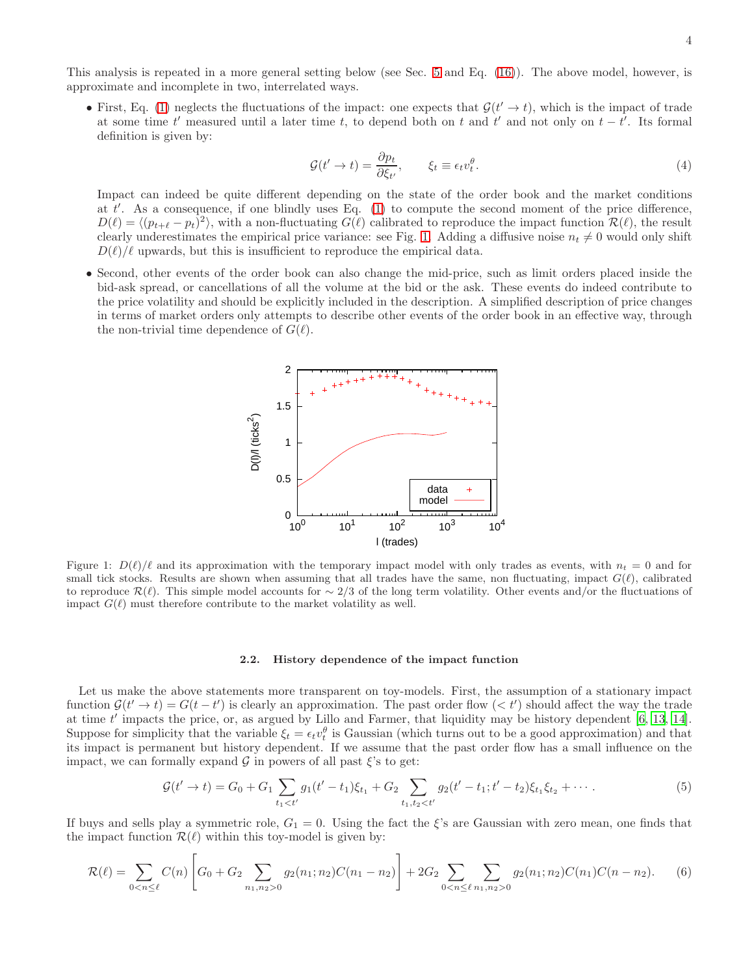This analysis is repeated in a more general setting below (see Sec. [5](#page-11-0) and Eq. [\(16\)](#page-11-1)). The above model, however, is approximate and incomplete in two, interrelated ways.

• First, Eq. [\(1\)](#page-2-2) neglects the fluctuations of the impact: one expects that  $\mathcal{G}(t' \to t)$ , which is the impact of trade at some time t' measured until a later time t, to depend both on t and t' and not only on  $t - t'$ . Its formal definition is given by:

<span id="page-3-2"></span>
$$
\mathcal{G}(t' \to t) = \frac{\partial p_t}{\partial \xi_{t'}}, \qquad \xi_t \equiv \epsilon_t v_t^{\theta}.
$$
\n<sup>(4)</sup>

Impact can indeed be quite different depending on the state of the order book and the market conditions at  $t'$ . As a consequence, if one blindly uses Eq. [\(1\)](#page-2-2) to compute the second moment of the price difference,  $D(\ell) = \langle (p_{t+\ell} - p_t)^2 \rangle$ , with a non-fluctuating  $G(\ell)$  calibrated to reproduce the impact function  $\mathcal{R}(\ell)$ , the result clearly underestimates the empirical price variance: see Fig. [1.](#page-3-1) Adding a diffusive noise  $n_t \neq 0$  would only shift  $D(\ell)/\ell$  upwards, but this is insufficient to reproduce the empirical data.

• Second, other events of the order book can also change the mid-price, such as limit orders placed inside the bid-ask spread, or cancellations of all the volume at the bid or the ask. These events do indeed contribute to the price volatility and should be explicitly included in the description. A simplified description of price changes in terms of market orders only attempts to describe other events of the order book in an effective way, through the non-trivial time dependence of  $G(\ell)$ .



<span id="page-3-1"></span>Figure 1:  $D(\ell)/\ell$  and its approximation with the temporary impact model with only trades as events, with  $n_t = 0$  and for small tick stocks. Results are shown when assuming that all trades have the same, non fluctuating, impact  $G(\ell)$ , calibrated to reproduce  $\mathcal{R}(\ell)$ . This simple model accounts for ~ 2/3 of the long term volatility. Other events and/or the fluctuations of impact  $G(\ell)$  must therefore contribute to the market volatility as well.

#### <span id="page-3-0"></span>2.2. History dependence of the impact function

Let us make the above statements more transparent on toy-models. First, the assumption of a stationary impact function  $\mathcal{G}(t' \to t) = G(t - t')$  is clearly an approximation. The past order flow  $(< t')$  should affect the way the trade at time  $t'$  impacts the price, or, as argued by Lillo and Farmer, that liquidity may be history dependent  $[6, 13, 14]$  $[6, 13, 14]$  $[6, 13, 14]$  $[6, 13, 14]$ . Suppose for simplicity that the variable  $\xi_t = \epsilon_t v_t^{\theta}$  is Gaussian (which turns out to be a good approximation) and that its impact is permanent but history dependent. If we assume that the past order flow has a small influence on the impact, we can formally expand  $\mathcal G$  in powers of all past  $\xi$ 's to get:

$$
\mathcal{G}(t' \to t) = G_0 + G_1 \sum_{t_1 < t'} g_1(t' - t_1) \xi_{t_1} + G_2 \sum_{t_1, t_2 < t'} g_2(t' - t_1; t' - t_2) \xi_{t_1} \xi_{t_2} + \cdots \tag{5}
$$

If buys and sells play a symmetric role,  $G_1 = 0$ . Using the fact the  $\xi$ 's are Gaussian with zero mean, one finds that the impact function  $\mathcal{R}(\ell)$  within this toy-model is given by:

$$
\mathcal{R}(\ell) = \sum_{0 < n \leq \ell} C(n) \left[ G_0 + G_2 \sum_{n_1, n_2 > 0} g_2(n_1; n_2) C(n_1 - n_2) \right] + 2G_2 \sum_{0 < n \leq \ell} \sum_{n_1, n_2 > 0} g_2(n_1; n_2) C(n_1) C(n - n_2). \tag{6}
$$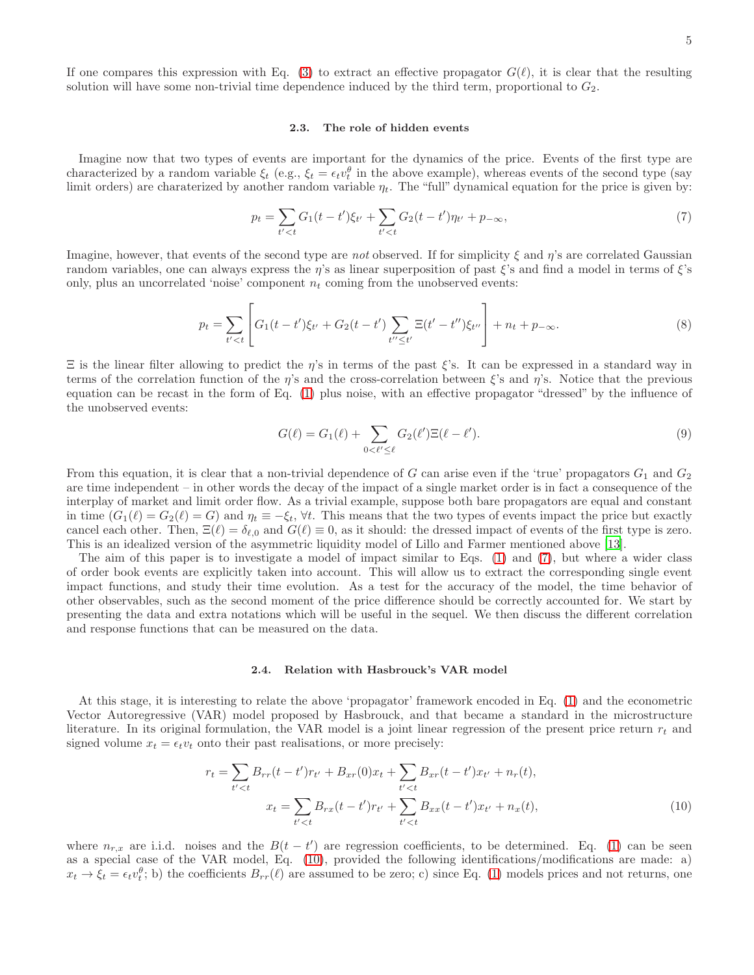### <span id="page-4-0"></span>2.3. The role of hidden events

Imagine now that two types of events are important for the dynamics of the price. Events of the first type are characterized by a random variable  $\xi_t$  (e.g.,  $\xi_t = \epsilon_t v_t^{\theta}$  in the above example), whereas events of the second type (say limit orders) are charaterized by another random variable  $\eta_t$ . The "full" dynamical equation for the price is given by:

<span id="page-4-2"></span>
$$
p_t = \sum_{t' < t} G_1(t - t') \xi_{t'} + \sum_{t' < t} G_2(t - t') \eta_{t'} + p_{-\infty},\tag{7}
$$

Imagine, however, that events of the second type are not observed. If for simplicity  $\xi$  and  $\eta$ 's are correlated Gaussian random variables, one can always express the  $\eta$ 's as linear superposition of past  $\xi$ 's and find a model in terms of  $\xi$ 's only, plus an uncorrelated 'noise' component  $n_t$  coming from the unobserved events:

$$
p_t = \sum_{t' < t} \left[ G_1(t - t') \xi_{t'} + G_2(t - t') \sum_{t'' \le t'} \Xi(t' - t'') \xi_{t''} \right] + n_t + p_{-\infty}.\tag{8}
$$

 $\Xi$  is the linear filter allowing to predict the  $\eta$ 's in terms of the past  $\xi$ 's. It can be expressed in a standard way in terms of the correlation function of the  $\eta$ 's and the cross-correlation between  $\xi$ 's and  $\eta$ 's. Notice that the previous equation can be recast in the form of Eq. [\(1\)](#page-2-2) plus noise, with an effective propagator "dressed" by the influence of the unobserved events:

<span id="page-4-4"></span>
$$
G(\ell) = G_1(\ell) + \sum_{0 < \ell' \le \ell} G_2(\ell') \Xi(\ell - \ell').\tag{9}
$$

From this equation, it is clear that a non-trivial dependence of G can arise even if the 'true' propagators  $G_1$  and  $G_2$ are time independent – in other words the decay of the impact of a single market order is in fact a consequence of the interplay of market and limit order flow. As a trivial example, suppose both bare propagators are equal and constant in time  $(G_1(\ell) = G_2(\ell) = G)$  and  $\eta_t \equiv -\xi_t$ ,  $\forall t$ . This means that the two types of events impact the price but exactly cancel each other. Then,  $\Xi(\ell) = \delta_{\ell,0}$  and  $G(\ell) \equiv 0$ , as it should: the dressed impact of events of the first type is zero. This is an idealized version of the asymmetric liquidity model of Lillo and Farmer mentioned above [\[13\]](#page-22-11).

The aim of this paper is to investigate a model of impact similar to Eqs. [\(1\)](#page-2-2) and [\(7\)](#page-4-2), but where a wider class of order book events are explicitly taken into account. This will allow us to extract the corresponding single event impact functions, and study their time evolution. As a test for the accuracy of the model, the time behavior of other observables, such as the second moment of the price difference should be correctly accounted for. We start by presenting the data and extra notations which will be useful in the sequel. We then discuss the different correlation and response functions that can be measured on the data.

#### <span id="page-4-1"></span>2.4. Relation with Hasbrouck's VAR model

At this stage, it is interesting to relate the above 'propagator' framework encoded in Eq. [\(1\)](#page-2-2) and the econometric Vector Autoregressive (VAR) model proposed by Hasbrouck, and that became a standard in the microstructure literature. In its original formulation, the VAR model is a joint linear regression of the present price return  $r_t$  and signed volume  $x_t = \epsilon_t v_t$  onto their past realisations, or more precisely:

<span id="page-4-3"></span>
$$
r_t = \sum_{t' < t} B_{rr}(t - t')r_{t'} + B_{xr}(0)x_t + \sum_{t' < t} B_{xr}(t - t')x_{t'} + n_r(t),
$$
\n
$$
x_t = \sum_{t' < t} B_{rx}(t - t')r_{t'} + \sum_{t' < t} B_{xx}(t - t')x_{t'} + n_x(t), \tag{10}
$$

where  $n_{r,x}$  are i.i.d. noises and the  $B(t-t')$  are regression coefficients, to be determined. Eq. [\(1\)](#page-2-2) can be seen as a special case of the VAR model, Eq. [\(10\)](#page-4-3), provided the following identifications/modifications are made: a)  $x_t \to \xi_t = \epsilon_t v_t^{\theta}$ ; b) the coefficients  $B_{rr}(\ell)$  are assumed to be zero; c) since Eq. [\(1\)](#page-2-2) models prices and not returns, one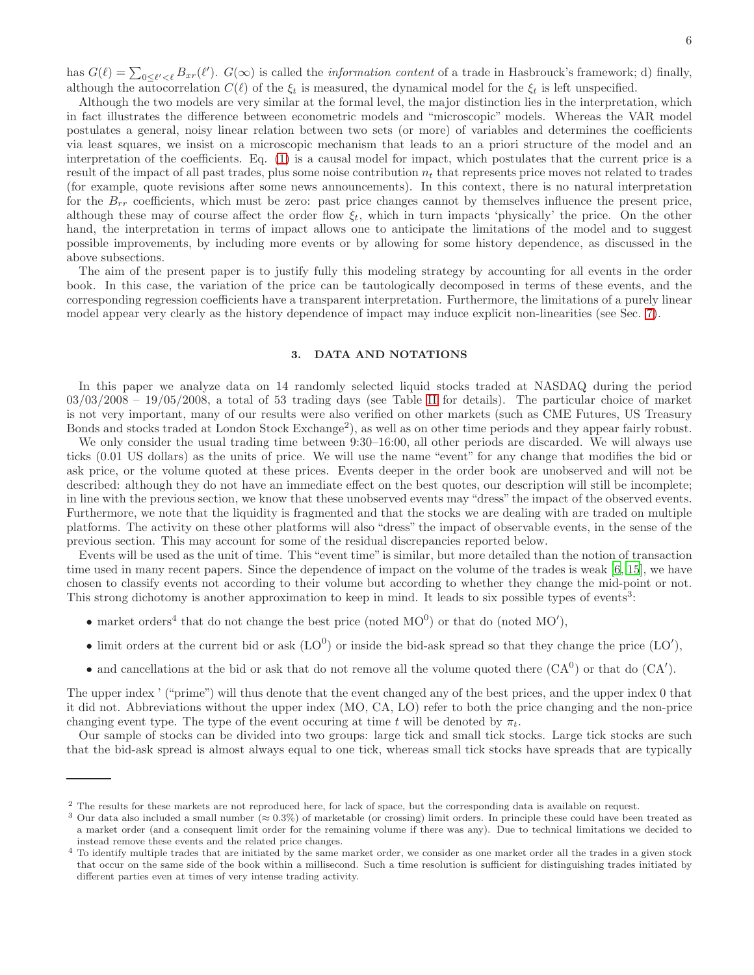has  $G(\ell) = \sum_{0 \leq \ell' < \ell} B_{xr}(\ell').$  G( $\infty$ ) is called the *information content* of a trade in Hasbrouck's framework; d) finally, although the autocorrelation  $C(\ell)$  of the  $\xi_t$  is measured, the dynamical model for the  $\xi_t$  is left unspecified.

Although the two models are very similar at the formal level, the major distinction lies in the interpretation, which in fact illustrates the difference between econometric models and "microscopic" models. Whereas the VAR model postulates a general, noisy linear relation between two sets (or more) of variables and determines the coefficients via least squares, we insist on a microscopic mechanism that leads to an a priori structure of the model and an interpretation of the coefficients. Eq. [\(1\)](#page-2-2) is a causal model for impact, which postulates that the current price is a result of the impact of all past trades, plus some noise contribution  $n_t$  that represents price moves not related to trades (for example, quote revisions after some news announcements). In this context, there is no natural interpretation for the  $B_{rr}$  coefficients, which must be zero: past price changes cannot by themselves influence the present price, although these may of course affect the order flow  $\xi_t$ , which in turn impacts 'physically' the price. On the other hand, the interpretation in terms of impact allows one to anticipate the limitations of the model and to suggest possible improvements, by including more events or by allowing for some history dependence, as discussed in the above subsections.

The aim of the present paper is to justify fully this modeling strategy by accounting for all events in the order book. In this case, the variation of the price can be tautologically decomposed in terms of these events, and the corresponding regression coefficients have a transparent interpretation. Furthermore, the limitations of a purely linear model appear very clearly as the history dependence of impact may induce explicit non-linearities (see Sec. [7\)](#page-15-0).

## <span id="page-5-0"></span>3. DATA AND NOTATIONS

In this paper we analyze data on 14 randomly selected liquid stocks traded at NASDAQ during the period  $03/03/2008 - 19/05/2008$ , a total of 53 trading days (see Table [II](#page-7-1) for details). The particular choice of market is not very important, many of our results were also verified on other markets (such as CME Futures, US Treasury Bonds and stocks traded at London Stock Exchange<sup>2</sup>), as well as on other time periods and they appear fairly robust.

We only consider the usual trading time between 9:30–16:00, all other periods are discarded. We will always use ticks (0.01 US dollars) as the units of price. We will use the name "event" for any change that modifies the bid or ask price, or the volume quoted at these prices. Events deeper in the order book are unobserved and will not be described: although they do not have an immediate effect on the best quotes, our description will still be incomplete; in line with the previous section, we know that these unobserved events may "dress" the impact of the observed events. Furthermore, we note that the liquidity is fragmented and that the stocks we are dealing with are traded on multiple platforms. The activity on these other platforms will also "dress" the impact of observable events, in the sense of the previous section. This may account for some of the residual discrepancies reported below.

Events will be used as the unit of time. This "event time"is similar, but more detailed than the notion of transaction time used in many recent papers. Since the dependence of impact on the volume of the trades is weak [\[6](#page-22-2), [15\]](#page-22-13), we have chosen to classify events not according to their volume but according to whether they change the mid-point or not. This strong dichotomy is another approximation to keep in mind. It leads to six possible types of events<sup>3</sup>:

- market orders<sup>4</sup> that do not change the best price (noted  $MO^0$ ) or that do (noted  $MO'$ ),
- limit orders at the current bid or ask  $(LO^0)$  or inside the bid-ask spread so that they change the price  $(LO')$ ,
- and cancellations at the bid or ask that do not remove all the volume quoted there  $(CA^0)$  or that do  $(CA')$ .

The upper index ' ("prime") will thus denote that the event changed any of the best prices, and the upper index 0 that it did not. Abbreviations without the upper index (MO, CA, LO) refer to both the price changing and the non-price changing event type. The type of the event occuring at time t will be denoted by  $\pi_t$ .

Our sample of stocks can be divided into two groups: large tick and small tick stocks. Large tick stocks are such that the bid-ask spread is almost always equal to one tick, whereas small tick stocks have spreads that are typically

<sup>2</sup> The results for these markets are not reproduced here, for lack of space, but the corresponding data is available on request.

<sup>&</sup>lt;sup>3</sup> Our data also included a small number  $(x 0.3\%)$  of marketable (or crossing) limit orders. In principle these could have been treated as a market order (and a consequent limit order for the remaining volume if there was any). Due to technical limitations we decided to instead remove these events and the related price changes.

<sup>4</sup> To identify multiple trades that are initiated by the same market order, we consider as one market order all the trades in a given stock that occur on the same side of the book within a millisecond. Such a time resolution is sufficient for distinguishing trades initiated by different parties even at times of very intense trading activity.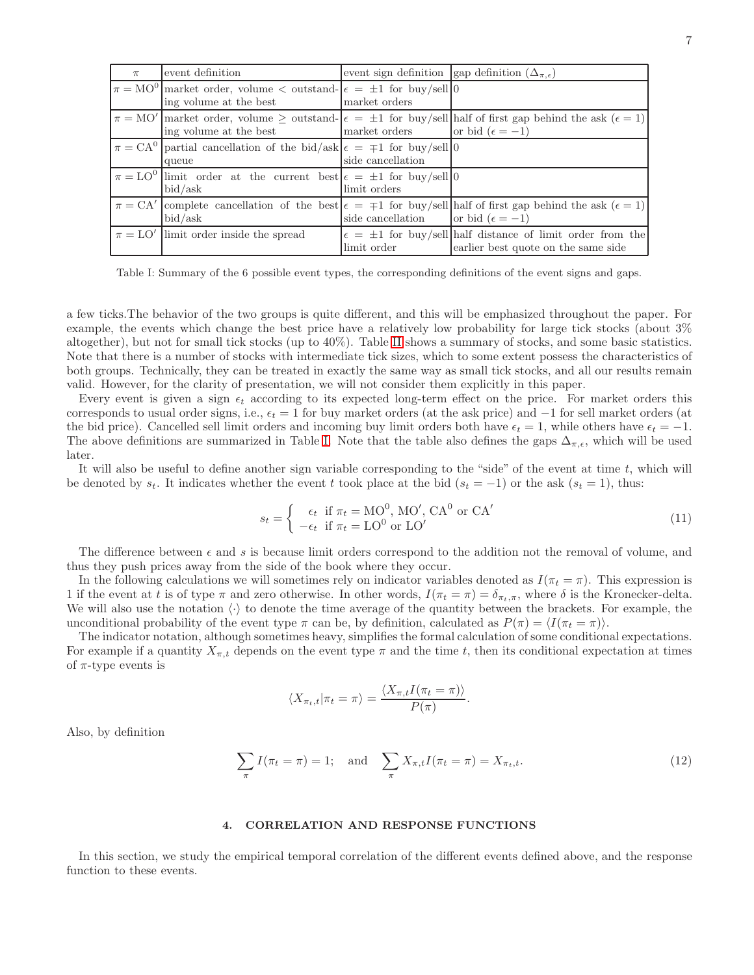| $\pi$ | event definition                                                                                                     | event sign definition [gap definition $(\Delta_{\pi,\epsilon})$ |                                                                                                                                                                 |
|-------|----------------------------------------------------------------------------------------------------------------------|-----------------------------------------------------------------|-----------------------------------------------------------------------------------------------------------------------------------------------------------------|
|       | $\pi = \text{MO}^0$ market order, volume $\lt$ outstand- $\epsilon = \pm 1$ for buy/sell 0<br>ing volume at the best | market orders                                                   |                                                                                                                                                                 |
|       | ing volume at the best                                                                                               | market orders                                                   | $\pi = MO'$ market order, volume $\geq$ outstand- $\epsilon = \pm 1$ for buy/sell half of first gap behind the ask $(\epsilon = 1)$<br>or bid $(\epsilon = -1)$ |
|       | $\pi = CA^0$ partial cancellation of the bid/ask $\epsilon = \pm 1$ for buy/sell 0<br>queue                          | side cancellation                                               |                                                                                                                                                                 |
|       | $\pi = LO^0$ limit order at the current best $\epsilon = \pm 1$ for buy/sell   0<br>bid/ask                          | limit orders                                                    |                                                                                                                                                                 |
|       | bid/ask                                                                                                              | side cancellation $\qquad$ or bid $(\epsilon = -1)$             | $\pi = CA'$ complete cancellation of the best $\epsilon = \pm 1$ for buy/sell half of first gap behind the ask $(\epsilon = 1)$                                 |
|       | $\pi = LO'$ limit order inside the spread                                                                            | limit order                                                     | $\epsilon = \pm 1$ for buy/sell half distance of limit order from the<br>earlier best quote on the same side                                                    |

<span id="page-6-1"></span>Table I: Summary of the 6 possible event types, the corresponding definitions of the event signs and gaps.

a few ticks.The behavior of the two groups is quite different, and this will be emphasized throughout the paper. For example, the events which change the best price have a relatively low probability for large tick stocks (about 3% altogether), but not for small tick stocks (up to 40%). Table [II](#page-7-1) shows a summary of stocks, and some basic statistics. Note that there is a number of stocks with intermediate tick sizes, which to some extent possess the characteristics of both groups. Technically, they can be treated in exactly the same way as small tick stocks, and all our results remain valid. However, for the clarity of presentation, we will not consider them explicitly in this paper.

Every event is given a sign  $\epsilon_t$  according to its expected long-term effect on the price. For market orders this corresponds to usual order signs, i.e.,  $\epsilon_t = 1$  for buy market orders (at the ask price) and  $-1$  for sell market orders (at the bid price). Cancelled sell limit orders and incoming buy limit orders both have  $\epsilon_t = 1$ , while others have  $\epsilon_t = -1$ . The above definitions are summarized in Table [I.](#page-6-1) Note that the table also defines the gaps  $\Delta_{\pi,\epsilon}$ , which will be used later.

It will also be useful to define another sign variable corresponding to the "side" of the event at time t, which will be denoted by  $s_t$ . It indicates whether the event t took place at the bid  $(s_t = -1)$  or the ask  $(s_t = 1)$ , thus:

<span id="page-6-2"></span>
$$
s_t = \begin{cases} \epsilon_t & \text{if } \pi_t = \text{MO}^0, \text{ MO}', \text{CA}^0 \text{ or } \text{CA}' \\ -\epsilon_t & \text{if } \pi_t = \text{LO}^0 \text{ or } \text{LO}' \end{cases}
$$
(11)

The difference between  $\epsilon$  and s is because limit orders correspond to the addition not the removal of volume, and thus they push prices away from the side of the book where they occur.

In the following calculations we will sometimes rely on indicator variables denoted as  $I(\pi_t = \pi)$ . This expression is 1 if the event at t is of type  $\pi$  and zero otherwise. In other words,  $I(\pi_t = \pi) = \delta_{\pi_t, \pi}$ , where  $\delta$  is the Kronecker-delta. We will also use the notation  $\langle \cdot \rangle$  to denote the time average of the quantity between the brackets. For example, the unconditional probability of the event type  $\pi$  can be, by definition, calculated as  $P(\pi) = \langle I(\pi_t = \pi) \rangle$ .

The indicator notation, although sometimes heavy, simplifies the formal calculation of some conditional expectations. For example if a quantity  $X_{\pi,t}$  depends on the event type  $\pi$  and the time t, then its conditional expectation at times of  $\pi$ -type events is

$$
\langle X_{\pi_t,t} | \pi_t = \pi \rangle = \frac{\langle X_{\pi,t} I(\pi_t = \pi) \rangle}{P(\pi)}.
$$

Also, by definition

<span id="page-6-3"></span>
$$
\sum_{\pi} I(\pi_t = \pi) = 1; \text{ and } \sum_{\pi} X_{\pi, t} I(\pi_t = \pi) = X_{\pi_t, t}.
$$
 (12)

## <span id="page-6-0"></span>4. CORRELATION AND RESPONSE FUNCTIONS

In this section, we study the empirical temporal correlation of the different events defined above, and the response function to these events.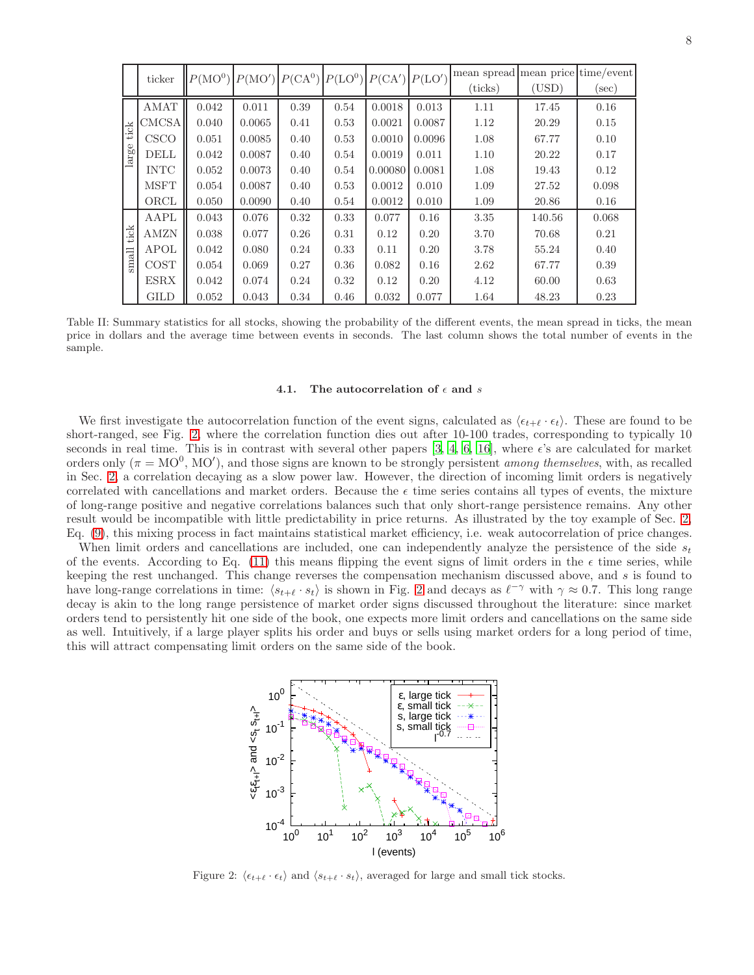|               | ticker      |       | $P(\text{MO}^0)$ $P(\text{MO}')$ $P(\text{CA}^0)$ $P(\text{LO}^0)$ $P(\text{CA}')$ $P(\text{LO}')$ |      |      |         |        | mean spread mean price time/event |        |          |
|---------------|-------------|-------|----------------------------------------------------------------------------------------------------|------|------|---------|--------|-----------------------------------|--------|----------|
|               |             |       |                                                                                                    |      |      |         |        | (ticks)                           | (USD)  | $(\sec)$ |
| tick<br>large | <b>AMAT</b> | 0.042 | 0.011                                                                                              | 0.39 | 0.54 | 0.0018  | 0.013  | 1.11                              | 17.45  | 0.16     |
|               | CMCSA       | 0.040 | 0.0065                                                                                             | 0.41 | 0.53 | 0.0021  | 0.0087 | 1.12                              | 20.29  | 0.15     |
|               | <b>CSCO</b> | 0.051 | 0.0085                                                                                             | 0.40 | 0.53 | 0.0010  | 0.0096 | 1.08                              | 67.77  | 0.10     |
|               | <b>DELL</b> | 0.042 | 0.0087                                                                                             | 0.40 | 0.54 | 0.0019  | 0.011  | 1.10                              | 20.22  | 0.17     |
|               | <b>INTC</b> | 0.052 | 0.0073                                                                                             | 0.40 | 0.54 | 0.00080 | 0.0081 | 1.08                              | 19.43  | 0.12     |
|               | <b>MSFT</b> | 0.054 | 0.0087                                                                                             | 0.40 | 0.53 | 0.0012  | 0.010  | 1.09                              | 27.52  | 0.098    |
|               | ORCL        | 0.050 | 0.0090                                                                                             | 0.40 | 0.54 | 0.0012  | 0.010  | 1.09                              | 20.86  | 0.16     |
| tick<br>small | AAPL        | 0.043 | 0.076                                                                                              | 0.32 | 0.33 | 0.077   | 0.16   | 3.35                              | 140.56 | 0.068    |
|               | <b>AMZN</b> | 0.038 | 0.077                                                                                              | 0.26 | 0.31 | 0.12    | 0.20   | 3.70                              | 70.68  | 0.21     |
|               | APOL        | 0.042 | 0.080                                                                                              | 0.24 | 0.33 | 0.11    | 0.20   | 3.78                              | 55.24  | 0.40     |
|               | <b>COST</b> | 0.054 | 0.069                                                                                              | 0.27 | 0.36 | 0.082   | 0.16   | 2.62                              | 67.77  | 0.39     |
|               | <b>ESRX</b> | 0.042 | 0.074                                                                                              | 0.24 | 0.32 | 0.12    | 0.20   | 4.12                              | 60.00  | 0.63     |
|               | <b>GILD</b> | 0.052 | 0.043                                                                                              | 0.34 | 0.46 | 0.032   | 0.077  | 1.64                              | 48.23  | 0.23     |

<span id="page-7-1"></span>Table II: Summary statistics for all stocks, showing the probability of the different events, the mean spread in ticks, the mean price in dollars and the average time between events in seconds. The last column shows the total number of events in the sample.

#### <span id="page-7-0"></span>4.1. The autocorrelation of  $\epsilon$  and s

We first investigate the autocorrelation function of the event signs, calculated as  $\langle \epsilon_{t+\ell} \cdot \epsilon_t \rangle$ . These are found to be short-ranged, see Fig. [2,](#page-7-2) where the correlation function dies out after 10-100 trades, corresponding to typically 10 seconds in real time. This is in contrast with several other papers [\[3](#page-22-7), [4,](#page-22-8) [6,](#page-22-2) [16](#page-23-1)], where  $\epsilon$ 's are calculated for market orders only  $(\pi = MO^0, MO'),$  and those signs are known to be strongly persistent *among themselves*, with, as recalled in Sec. [2,](#page-2-0) a correlation decaying as a slow power law. However, the direction of incoming limit orders is negatively correlated with cancellations and market orders. Because the  $\epsilon$  time series contains all types of events, the mixture of long-range positive and negative correlations balances such that only short-range persistence remains. Any other result would be incompatible with little predictability in price returns. As illustrated by the toy example of Sec. [2,](#page-2-0) Eq. [\(9\)](#page-4-4), this mixing process in fact maintains statistical market efficiency, i.e. weak autocorrelation of price changes.

When limit orders and cancellations are included, one can independently analyze the persistence of the side  $s_t$ of the events. According to Eq. [\(11\)](#page-6-2) this means flipping the event signs of limit orders in the  $\epsilon$  time series, while keeping the rest unchanged. This change reverses the compensation mechanism discussed above, and s is found to have long-range correlations in time:  $\langle s_{t+\ell} \cdot s_t \rangle$  is shown in Fig. [2](#page-7-2) and decays as  $\ell^{-\gamma}$  with  $\gamma \approx 0.7$ . This long range decay is akin to the long range persistence of market order signs discussed throughout the literature: since market orders tend to persistently hit one side of the book, one expects more limit orders and cancellations on the same side as well. Intuitively, if a large player splits his order and buys or sells using market orders for a long period of time, this will attract compensating limit orders on the same side of the book.



<span id="page-7-2"></span>Figure 2:  $\langle \epsilon_{t+\ell} \cdot \epsilon_t \rangle$  and  $\langle s_{t+\ell} \cdot s_t \rangle$ , averaged for large and small tick stocks.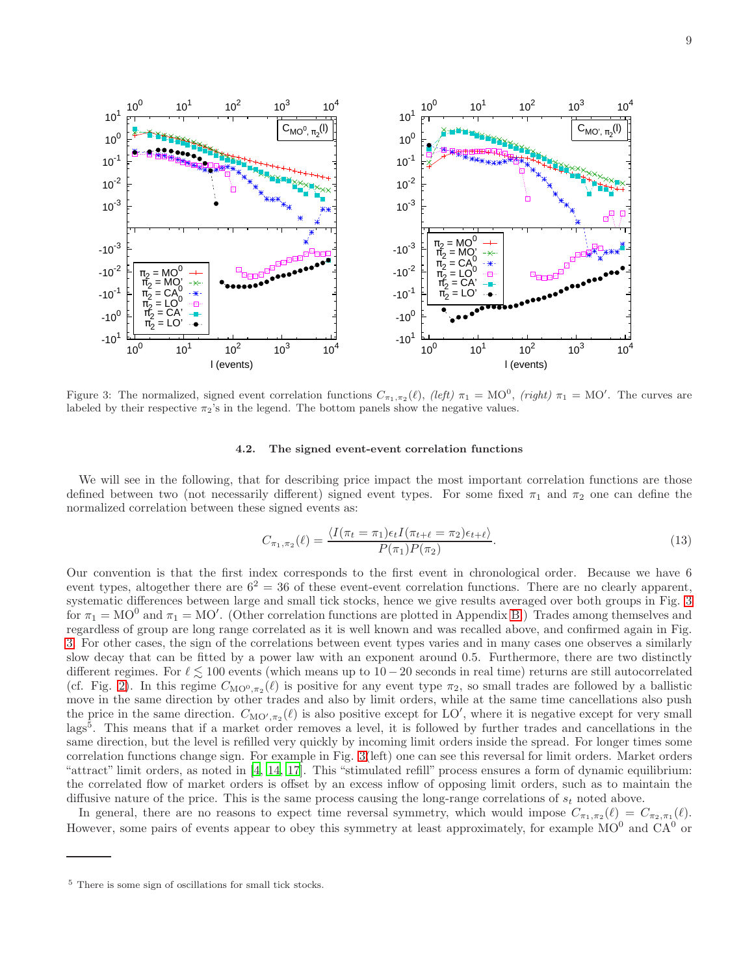

<span id="page-8-1"></span>Figure 3: The normalized, signed event correlation functions  $C_{\pi_1,\pi_2}(\ell)$ , (left)  $\pi_1 = \text{MO}^0$ , (right)  $\pi_1 = \text{MO}'$ . The curves are labeled by their respective  $\pi_2$ 's in the legend. The bottom panels show the negative values.

#### <span id="page-8-0"></span>4.2. The signed event-event correlation functions

We will see in the following, that for describing price impact the most important correlation functions are those defined between two (not necessarily different) signed event types. For some fixed  $\pi_1$  and  $\pi_2$  one can define the normalized correlation between these signed events as:

$$
C_{\pi_1, \pi_2}(\ell) = \frac{\langle I(\pi_t = \pi_1)\epsilon_t I(\pi_{t+\ell} = \pi_2)\epsilon_{t+\ell}\rangle}{P(\pi_1)P(\pi_2)}.
$$
\n(13)

Our convention is that the first index corresponds to the first event in chronological order. Because we have 6 event types, altogether there are  $6^2 = 36$  of these event-event correlation functions. There are no clearly apparent, systematic differences between large and small tick stocks, hence we give results averaged over both groups in Fig. [3](#page-8-1) for  $\pi_1 = MO^0$  and  $\pi_1 = MO'$ . (Other correlation functions are plotted in Appendix [B.](#page-24-0)) Trades among themselves and regardless of group are long range correlated as it is well known and was recalled above, and confirmed again in Fig. [3.](#page-8-1) For other cases, the sign of the correlations between event types varies and in many cases one observes a similarly slow decay that can be fitted by a power law with an exponent around 0.5. Furthermore, there are two distinctly different regimes. For  $\ell \lesssim 100$  events (which means up to  $10-20$  seconds in real time) returns are still autocorrelated (cf. Fig. [2\)](#page-7-2). In this regime  $C_{\text{MO}^0, \pi_2}(\ell)$  is positive for any event type  $\pi_2$ , so small trades are followed by a ballistic move in the same direction by other trades and also by limit orders, while at the same time cancellations also push the price in the same direction.  $C_{\text{MO}',\pi_2}(\ell)$  is also positive except for LO', where it is negative except for very small lags<sup>5</sup>. This means that if a market order removes a level, it is followed by further trades and cancellations in the same direction, but the level is refilled very quickly by incoming limit orders inside the spread. For longer times some correlation functions change sign. For example in Fig. [3\(](#page-8-1)left) one can see this reversal for limit orders. Market orders "attract" limit orders, as noted in [\[4](#page-22-8), [14,](#page-22-12) [17\]](#page-23-2). This "stimulated refill" process ensures a form of dynamic equilibrium: the correlated flow of market orders is offset by an excess inflow of opposing limit orders, such as to maintain the diffusive nature of the price. This is the same process causing the long-range correlations of  $s_t$  noted above.

In general, there are no reasons to expect time reversal symmetry, which would impose  $C_{\pi_1,\pi_2}(\ell) = C_{\pi_2,\pi_1}(\ell)$ . However, some pairs of events appear to obey this symmetry at least approximately, for example  $MO^0$  and  $CA^0$  or

<sup>5</sup> There is some sign of oscillations for small tick stocks.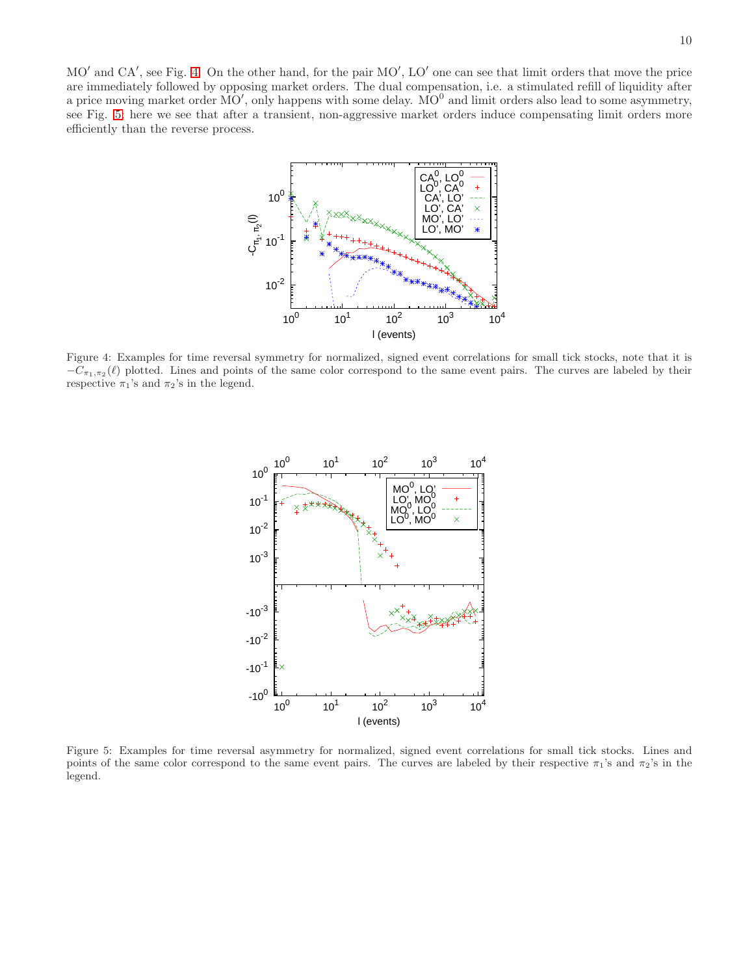MO' and CA', see Fig. [4.](#page-9-0) On the other hand, for the pair MO', LO' one can see that limit orders that move the price are immediately followed by opposing market orders. The dual compensation, i.e. a stimulated refill of liquidity after a price moving market order  $MO'$ , only happens with some delay.  $MO<sup>0</sup>$  and limit orders also lead to some asymmetry, see Fig. [5;](#page-9-1) here we see that after a transient, non-aggressive market orders induce compensating limit orders more efficiently than the reverse process.



<span id="page-9-0"></span>Figure 4: Examples for time reversal symmetry for normalized, signed event correlations for small tick stocks, note that it is  $-C_{\pi_1,\pi_2}(\ell)$  plotted. Lines and points of the same color correspond to the same event pairs. The curves are labeled by their respective  $\pi_1$ 's and  $\pi_2$ 's in the legend.



<span id="page-9-1"></span>Figure 5: Examples for time reversal asymmetry for normalized, signed event correlations for small tick stocks. Lines and points of the same color correspond to the same event pairs. The curves are labeled by their respective  $\pi_1$ 's and  $\pi_2$ 's in the legend.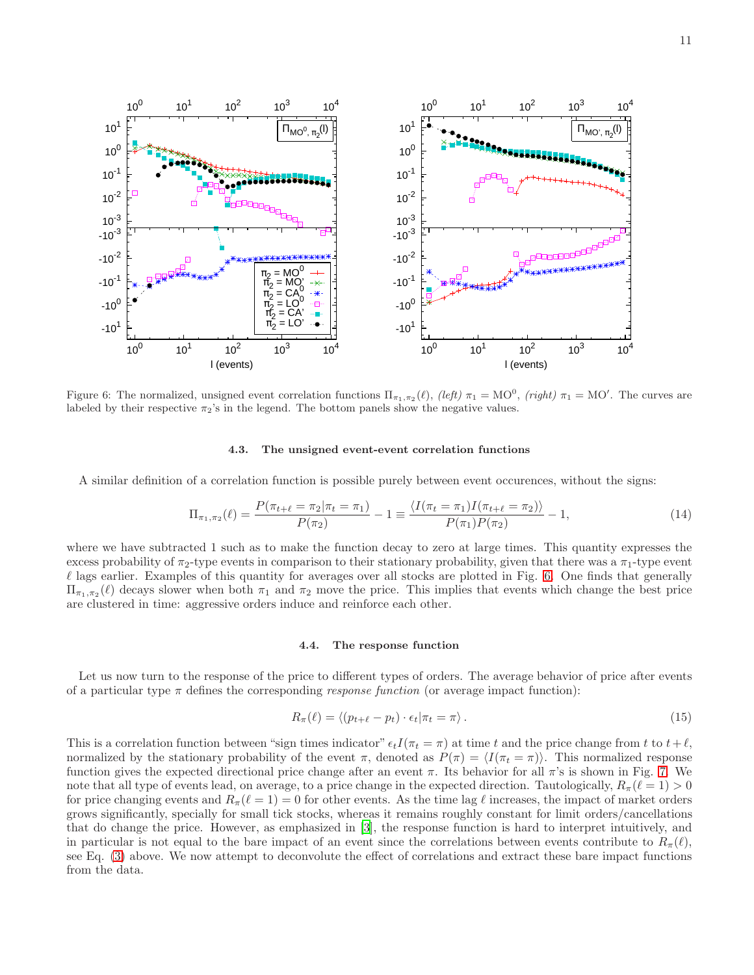

<span id="page-10-2"></span>Figure 6: The normalized, unsigned event correlation functions  $\Pi_{\pi_1,\pi_2}(\ell)$ , (left)  $\pi_1 = \text{MO}^0$ , (right)  $\pi_1 = \text{MO}'$ . The curves are labeled by their respective  $\pi_2$ 's in the legend. The bottom panels show the negative values.

#### <span id="page-10-0"></span>4.3. The unsigned event-event correlation functions

A similar definition of a correlation function is possible purely between event occurences, without the signs:

$$
\Pi_{\pi_1, \pi_2}(\ell) = \frac{P(\pi_{t+\ell} = \pi_2 | \pi_t = \pi_1)}{P(\pi_2)} - 1 \equiv \frac{\langle I(\pi_t = \pi_1)I(\pi_{t+\ell} = \pi_2) \rangle}{P(\pi_1)P(\pi_2)} - 1,\tag{14}
$$

where we have subtracted 1 such as to make the function decay to zero at large times. This quantity expresses the excess probability of  $\pi_2$ -type events in comparison to their stationary probability, given that there was a  $\pi_1$ -type event  $\ell$  lags earlier. Examples of this quantity for averages over all stocks are plotted in Fig. [6.](#page-10-2) One finds that generally  $\Pi_{\pi_1,\pi_2}(\ell)$  decays slower when both  $\pi_1$  and  $\pi_2$  move the price. This implies that events which change the best price are clustered in time: aggressive orders induce and reinforce each other.

#### <span id="page-10-1"></span>4.4. The response function

Let us now turn to the response of the price to different types of orders. The average behavior of price after events of a particular type  $\pi$  defines the corresponding *response function* (or average impact function):

<span id="page-10-3"></span>
$$
R_{\pi}(\ell) = \langle (p_{t+\ell} - p_t) \cdot \epsilon_t | \pi_t = \pi \rangle. \tag{15}
$$

This is a correlation function between "sign times indicator"  $\epsilon_t I(\pi_t = \pi)$  at time t and the price change from t to  $t + \ell$ , normalized by the stationary probability of the event  $\pi$ , denoted as  $P(\pi) = \langle I(\pi_t = \pi) \rangle$ . This normalized response function gives the expected directional price change after an event  $\pi$ . Its behavior for all  $\pi$ 's is shown in Fig. [7.](#page-11-2) We note that all type of events lead, on average, to a price change in the expected direction. Tautologically,  $R_{\pi}(\ell=1) > 0$ for price changing events and  $R_\pi(\ell=1)=0$  for other events. As the time lag  $\ell$  increases, the impact of market orders grows significantly, specially for small tick stocks, whereas it remains roughly constant for limit orders/cancellations that do change the price. However, as emphasized in [\[3](#page-22-7)], the response function is hard to interpret intuitively, and in particular is not equal to the bare impact of an event since the correlations between events contribute to  $R_\pi(\ell)$ , see Eq. [\(3\)](#page-2-3) above. We now attempt to deconvolute the effect of correlations and extract these bare impact functions from the data.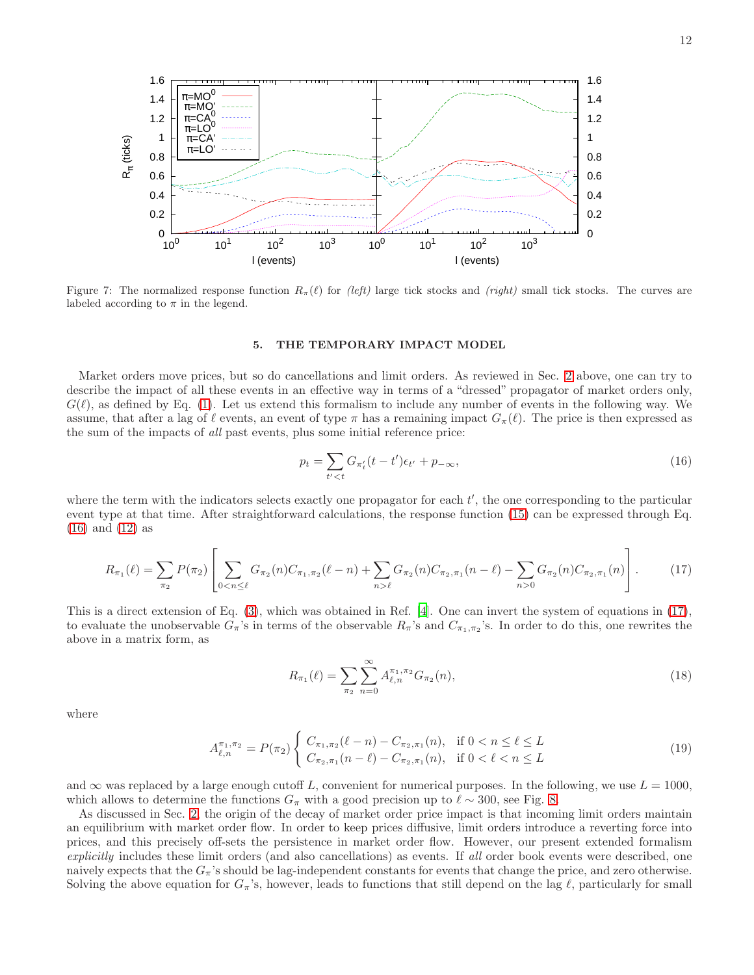

<span id="page-11-2"></span>Figure 7: The normalized response function  $R_{\pi}(\ell)$  for (left) large tick stocks and (right) small tick stocks. The curves are labeled according to  $\pi$  in the legend.

### <span id="page-11-0"></span>5. THE TEMPORARY IMPACT MODEL

Market orders move prices, but so do cancellations and limit orders. As reviewed in Sec. [2](#page-2-0) above, one can try to describe the impact of all these events in an effective way in terms of a "dressed" propagator of market orders only,  $G(\ell)$ , as defined by Eq. [\(1\)](#page-2-2). Let us extend this formalism to include any number of events in the following way. We assume, that after a lag of  $\ell$  events, an event of type  $\pi$  has a remaining impact  $G_{\pi}(\ell)$ . The price is then expressed as the sum of the impacts of all past events, plus some initial reference price:

<span id="page-11-1"></span>
$$
p_t = \sum_{t' < t} G_{\pi'_t}(t - t') \epsilon_{t'} + p_{-\infty},\tag{16}
$$

where the term with the indicators selects exactly one propagator for each  $t'$ , the one corresponding to the particular event type at that time. After straightforward calculations, the response function [\(15\)](#page-10-3) can be expressed through Eq. [\(16\)](#page-11-1) and [\(12\)](#page-6-3) as

<span id="page-11-3"></span>
$$
R_{\pi_1}(\ell) = \sum_{\pi_2} P(\pi_2) \left[ \sum_{0 < n \leq \ell} G_{\pi_2}(n) C_{\pi_1, \pi_2}(\ell - n) + \sum_{n > \ell} G_{\pi_2}(n) C_{\pi_2, \pi_1}(n - \ell) - \sum_{n > 0} G_{\pi_2}(n) C_{\pi_2, \pi_1}(n) \right]. \tag{17}
$$

This is a direct extension of Eq. [\(3\)](#page-2-3), which was obtained in Ref. [\[4](#page-22-8)]. One can invert the system of equations in [\(17\)](#page-11-3), to evaluate the unobservable  $G_{\pi}$ 's in terms of the observable  $R_{\pi}$ 's and  $C_{\pi_1,\pi_2}$ 's. In order to do this, one rewrites the above in a matrix form, as

<span id="page-11-4"></span>
$$
R_{\pi_1}(\ell) = \sum_{\pi_2} \sum_{n=0}^{\infty} A_{\ell,n}^{\pi_1, \pi_2} G_{\pi_2}(n),
$$
\n(18)

where

$$
A_{\ell,n}^{\pi_1,\pi_2} = P(\pi_2) \begin{cases} C_{\pi_1,\pi_2}(\ell-n) - C_{\pi_2,\pi_1}(n), & \text{if } 0 < n \le \ell \le L \\ C_{\pi_2,\pi_1}(n-\ell) - C_{\pi_2,\pi_1}(n), & \text{if } 0 < \ell < n \le L \end{cases}
$$
(19)

and  $\infty$  was replaced by a large enough cutoff L, convenient for numerical purposes. In the following, we use  $L = 1000$ , which allows to determine the functions  $G_{\pi}$  with a good precision up to  $\ell \sim 300$ , see Fig. [8.](#page-12-1)

As discussed in Sec. [2,](#page-2-0) the origin of the decay of market order price impact is that incoming limit orders maintain an equilibrium with market order flow. In order to keep prices diffusive, limit orders introduce a reverting force into prices, and this precisely off-sets the persistence in market order flow. However, our present extended formalism explicitly includes these limit orders (and also cancellations) as events. If all order book events were described, one naively expects that the  $G_{\pi}$ 's should be lag-independent constants for events that change the price, and zero otherwise. Solving the above equation for  $G_{\pi}$ 's, however, leads to functions that still depend on the lag  $\ell$ , particularly for small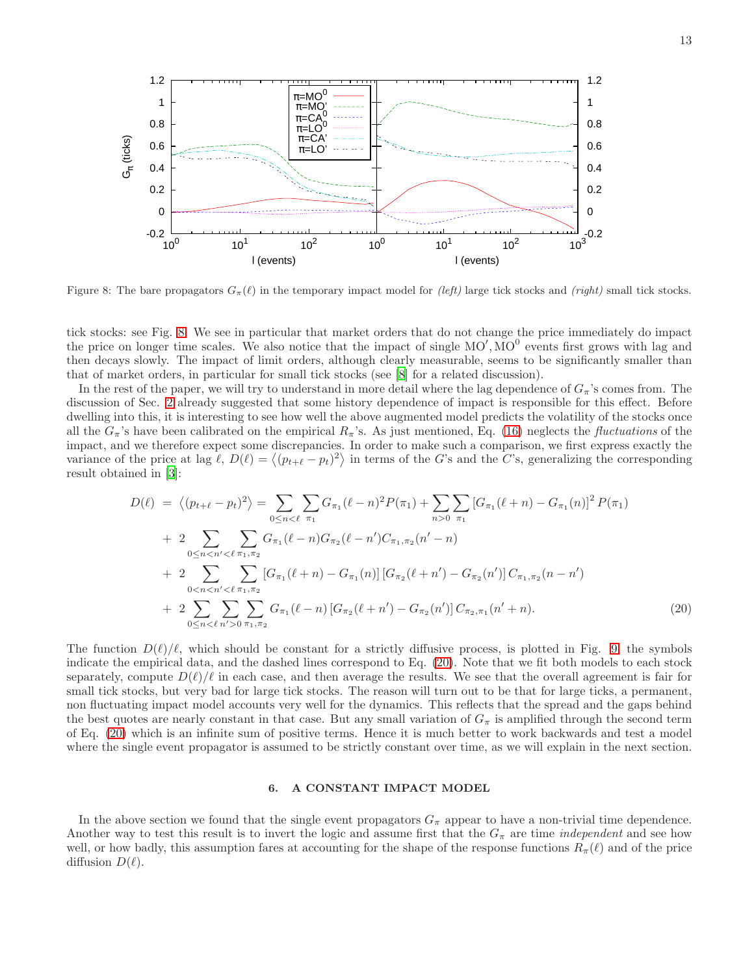

<span id="page-12-1"></span>Figure 8: The bare propagators  $G_{\pi}(\ell)$  in the temporary impact model for (left) large tick stocks and (right) small tick stocks.

tick stocks: see Fig. [8.](#page-12-1) We see in particular that market orders that do not change the price immediately do impact the price on longer time scales. We also notice that the impact of single  $MO'$ ,  $\widetilde{MO}^0$  events first grows with lag and then decays slowly. The impact of limit orders, although clearly measurable, seems to be significantly smaller than that of market orders, in particular for small tick stocks (see [\[8\]](#page-22-4) for a related discussion).

In the rest of the paper, we will try to understand in more detail where the lag dependence of  $G_{\pi}$ 's comes from. The discussion of Sec. [2](#page-2-0) already suggested that some history dependence of impact is responsible for this effect. Before dwelling into this, it is interesting to see how well the above augmented model predicts the volatility of the stocks once all the  $G_{\pi}$ 's have been calibrated on the empirical  $R_{\pi}$ 's. As just mentioned, Eq. [\(16\)](#page-11-1) neglects the *fluctuations* of the impact, and we therefore expect some discrepancies. In order to make such a comparison, we first express exactly the variance of the price at lag  $\ell$ ,  $D(\ell) = \langle (p_{t+\ell} - p_t)^2 \rangle$  in terms of the G's and the C's, generalizing the corresponding result obtained in [\[3\]](#page-22-7):

<span id="page-12-2"></span>
$$
D(\ell) = \left\langle (p_{t+\ell} - p_t)^2 \right\rangle = \sum_{0 \le n < \ell} \sum_{\pi_1} G_{\pi_1} (\ell - n)^2 P(\pi_1) + \sum_{n > 0} \sum_{\pi_1} \left[ G_{\pi_1} (\ell + n) - G_{\pi_1} (n) \right]^2 P(\pi_1)
$$
\n
$$
+ 2 \sum_{0 \le n < n' < \ell} \sum_{\pi_1, \pi_2} G_{\pi_1} (\ell - n) G_{\pi_2} (\ell - n') C_{\pi_1, \pi_2} (n' - n)
$$
\n
$$
+ 2 \sum_{0 < n < n' < \ell} \sum_{\pi_1, \pi_2} \left[ G_{\pi_1} (\ell + n) - G_{\pi_1} (n) \right] \left[ G_{\pi_2} (\ell + n') - G_{\pi_2} (n') \right] C_{\pi_1, \pi_2} (n - n')
$$
\n
$$
+ 2 \sum_{0 \le n < \ell} \sum_{n' > 0} \sum_{\pi_1, \pi_2} G_{\pi_1} (\ell - n) \left[ G_{\pi_2} (\ell + n') - G_{\pi_2} (n') \right] C_{\pi_2, \pi_1} (n' + n). \tag{20}
$$

The function  $D(\ell)/\ell$ , which should be constant for a strictly diffusive process, is plotted in Fig. [9,](#page-13-0) the symbols indicate the empirical data, and the dashed lines correspond to Eq. [\(20\)](#page-12-2). Note that we fit both models to each stock separately, compute  $D(\ell)/\ell$  in each case, and then average the results. We see that the overall agreement is fair for small tick stocks, but very bad for large tick stocks. The reason will turn out to be that for large ticks, a permanent, non fluctuating impact model accounts very well for the dynamics. This reflects that the spread and the gaps behind the best quotes are nearly constant in that case. But any small variation of  $G_\pi$  is amplified through the second term of Eq. [\(20\)](#page-12-2) which is an infinite sum of positive terms. Hence it is much better to work backwards and test a model where the single event propagator is assumed to be strictly constant over time, as we will explain in the next section.

#### <span id="page-12-0"></span>6. A CONSTANT IMPACT MODEL

In the above section we found that the single event propagators  $G_\pi$  appear to have a non-trivial time dependence. Another way to test this result is to invert the logic and assume first that the  $G_\pi$  are time *independent* and see how well, or how badly, this assumption fares at accounting for the shape of the response functions  $R_\pi(\ell)$  and of the price diffusion  $D(\ell)$ .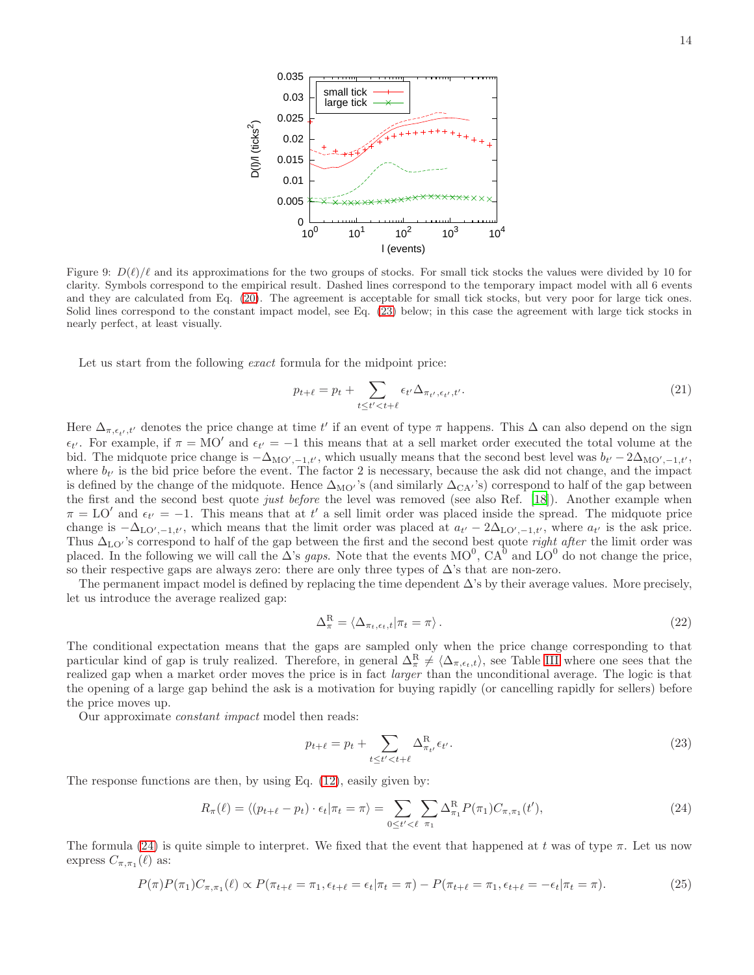

<span id="page-13-0"></span>Figure 9:  $D(\ell)/\ell$  and its approximations for the two groups of stocks. For small tick stocks the values were divided by 10 for clarity. Symbols correspond to the empirical result. Dashed lines correspond to the temporary impact model with all 6 events and they are calculated from Eq. [\(20\)](#page-12-2). The agreement is acceptable for small tick stocks, but very poor for large tick ones. Solid lines correspond to the constant impact model, see Eq. [\(23\)](#page-13-1) below; in this case the agreement with large tick stocks in nearly perfect, at least visually.

Let us start from the following *exact* formula for the midpoint price:

<span id="page-13-3"></span>
$$
p_{t+\ell} = p_t + \sum_{t \le t' < t+\ell} \epsilon_{t'} \Delta_{\pi_{t'}, \epsilon_{t'}, t'}.\tag{21}
$$

Here  $\Delta_{\pi,\epsilon_{t'},t'}$  denotes the price change at time t' if an event of type  $\pi$  happens. This  $\Delta$  can also depend on the sign  $\epsilon_{t'}$ . For example, if  $\pi = \text{MO}'$  and  $\epsilon_{t'} = -1$  this means that at a sell market order executed the total volume at the bid. The midquote price change is  $-\Delta_{\text{MO}',-1,t'}$ , which usually means that the second best level was  $b_{t'} - 2\Delta_{\text{MO}',-1,t'}$ , where  $b_{t'}$  is the bid price before the event. The factor 2 is necessary, because the ask did not change, and the impact is defined by the change of the midquote. Hence  $\Delta_{\text{MO'}}$ 's (and similarly  $\Delta_{\text{CA'}}$ 's) correspond to half of the gap between the first and the second best quote just before the level was removed (see also Ref. [\[18\]](#page-23-3)). Another example when  $\pi = LO'$  and  $\epsilon_{t'} = -1$ . This means that at t' a sell limit order was placed inside the spread. The midquote price change is  $-\Delta_{\text{LO}',-1,t'}$ , which means that the limit order was placed at  $a_{t'}-2\Delta_{\text{LO}',-1,t'}$ , where  $a_{t'}$  is the ask price. Thus  $\Delta_{\text{LO}}$ 's correspond to half of the gap between the first and the second best quote *right after* the limit order was placed. In the following we will call the  $\Delta$ 's gaps. Note that the events MO<sup>0</sup>, CA<sup>0</sup> and LO<sup>0</sup> do not change the price, so their respective gaps are always zero: there are only three types of  $\Delta$ 's that are non-zero.

The permanent impact model is defined by replacing the time dependent  $\Delta$ 's by their average values. More precisely, let us introduce the average realized gap:

$$
\Delta_{\pi}^{\mathcal{R}} = \langle \Delta_{\pi_t, \epsilon_t, t} | \pi_t = \pi \rangle. \tag{22}
$$

The conditional expectation means that the gaps are sampled only when the price change corresponding to that particular kind of gap is truly realized. Therefore, in general  $\Delta_{\pi}^R \neq \langle \Delta_{\pi,\epsilon_t,t} \rangle$ , see Table [III](#page-14-0) where one sees that the realized gap when a market order moves the price is in fact larger than the unconditional average. The logic is that the opening of a large gap behind the ask is a motivation for buying rapidly (or cancelling rapidly for sellers) before the price moves up.

Our approximate constant impact model then reads:

<span id="page-13-1"></span>
$$
p_{t+\ell} = p_t + \sum_{t \le t' < t+\ell} \Delta^{\mathcal{R}}_{\pi_{t'}} \epsilon_{t'}.\tag{23}
$$

The response functions are then, by using Eq.  $(12)$ , easily given by:

<span id="page-13-2"></span>
$$
R_{\pi}(\ell) = \langle (p_{t+\ell} - p_t) \cdot \epsilon_t | \pi_t = \pi \rangle = \sum_{0 \le t' < \ell} \sum_{\pi_1} \Delta_{\pi_1}^R P(\pi_1) C_{\pi, \pi_1}(t'), \tag{24}
$$

The formula [\(24\)](#page-13-2) is quite simple to interpret. We fixed that the event that happened at t was of type  $\pi$ . Let us now express  $C_{\pi,\pi_1}(\ell)$  as:

$$
P(\pi)P(\pi_1)C_{\pi,\pi_1}(\ell) \propto P(\pi_{t+\ell} = \pi_1, \epsilon_{t+\ell} = \epsilon_t | \pi_t = \pi) - P(\pi_{t+\ell} = \pi_1, \epsilon_{t+\ell} = -\epsilon_t | \pi_t = \pi).
$$
\n(25)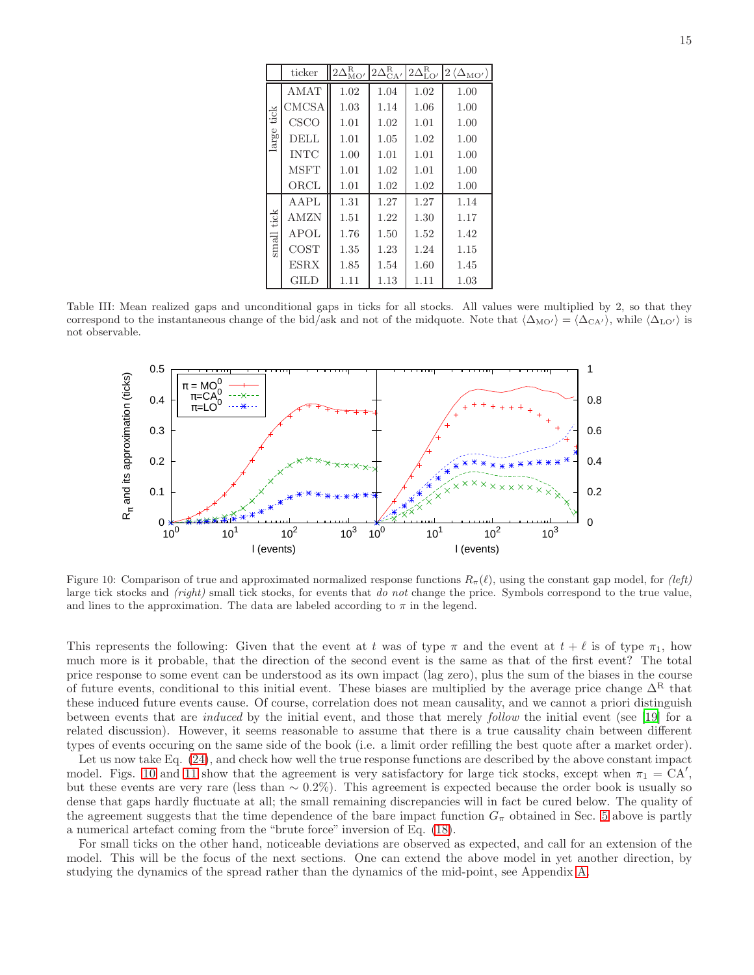|               | ticker      | $2\Delta_\mathrm{MO}^\mathrm{R}$ | R<br>$2\Delta$<br>CA' | $_{\rm R}$<br>$2\Delta^\mathrm{rk}_{\mathrm{LO'}}$ | $2\langle\Delta_{\rm MO'}\rangle$ |
|---------------|-------------|----------------------------------|-----------------------|----------------------------------------------------|-----------------------------------|
| tick<br>large | <b>AMAT</b> | 1.02                             | 1.04                  | 1.02                                               | 1.00                              |
|               | CMCSA       | 1.03                             | 1.14                  | 1.06                                               | 1.00                              |
|               | CSCO        | 1.01                             | 1.02                  | 1.01                                               | 1.00                              |
|               | <b>DELL</b> | 1.01                             | 1.05                  | 1.02                                               | 1.00                              |
|               | <b>INTC</b> | 1.00                             | 1.01                  | 1.01                                               | 1.00                              |
|               | <b>MSFT</b> | 1.01                             | 1.02                  | 1.01                                               | 1.00                              |
|               | ORCL        | 1.01                             | 1.02                  | 1.02                                               | 1.00                              |
| tick<br>small | AAPL        | 1.31                             | 1.27                  | 1.27                                               | 1.14                              |
|               | <b>AMZN</b> | 1.51                             | 1.22                  | 1.30                                               | 1.17                              |
|               | APOL        | 1.76                             | 1.50                  | 1.52                                               | 1.42                              |
|               | COST        | 1.35                             | 1.23                  | 1.24                                               | 1.15                              |
|               | <b>ESRX</b> | 1.85                             | 1.54                  | 1.60                                               | 1.45                              |
|               | <b>GILD</b> | 1.11                             | 1.13                  | 1.11                                               | 1.03                              |

Table III: Mean realized gaps and unconditional gaps in ticks for all stocks. All values were multiplied by 2, so that they correspond to the instantaneous change of the bid/ask and not of the midquote. Note that  $\langle \Delta_{\text{MO'}} \rangle = \langle \Delta_{\text{CA'}} \rangle$ , while  $\langle \Delta_{\text{LO'}} \rangle$  is not observable.

<span id="page-14-0"></span>

<span id="page-14-1"></span>Figure 10: Comparison of true and approximated normalized response functions  $R_{\pi}(\ell)$ , using the constant gap model, for (left) large tick stocks and (right) small tick stocks, for events that do not change the price. Symbols correspond to the true value, and lines to the approximation. The data are labeled according to  $\pi$  in the legend.

This represents the following: Given that the event at t was of type  $\pi$  and the event at  $t + \ell$  is of type  $\pi_1$ , how much more is it probable, that the direction of the second event is the same as that of the first event? The total price response to some event can be understood as its own impact (lag zero), plus the sum of the biases in the course of future events, conditional to this initial event. These biases are multiplied by the average price change  $\Delta^R$  that these induced future events cause. Of course, correlation does not mean causality, and we cannot a priori distinguish between events that are induced by the initial event, and those that merely follow the initial event (see [\[19\]](#page-23-4) for a related discussion). However, it seems reasonable to assume that there is a true causality chain between different types of events occuring on the same side of the book (i.e. a limit order refilling the best quote after a market order).

Let us now take Eq. [\(24\)](#page-13-2), and check how well the true response functions are described by the above constant impact model. Figs. [10](#page-14-1) and [11](#page-15-2) show that the agreement is very satisfactory for large tick stocks, except when  $\pi_1 = CA'$ , but these events are very rare (less than ∼ 0.2%). This agreement is expected because the order book is usually so dense that gaps hardly fluctuate at all; the small remaining discrepancies will in fact be cured below. The quality of the agreement suggests that the time dependence of the bare impact function  $G_\pi$  obtained in Sec. [5](#page-11-0) above is partly a numerical artefact coming from the "brute force" inversion of Eq. [\(18\)](#page-11-4).

For small ticks on the other hand, noticeable deviations are observed as expected, and call for an extension of the model. This will be the focus of the next sections. One can extend the above model in yet another direction, by studying the dynamics of the spread rather than the dynamics of the mid-point, see Appendix [A.](#page-23-0)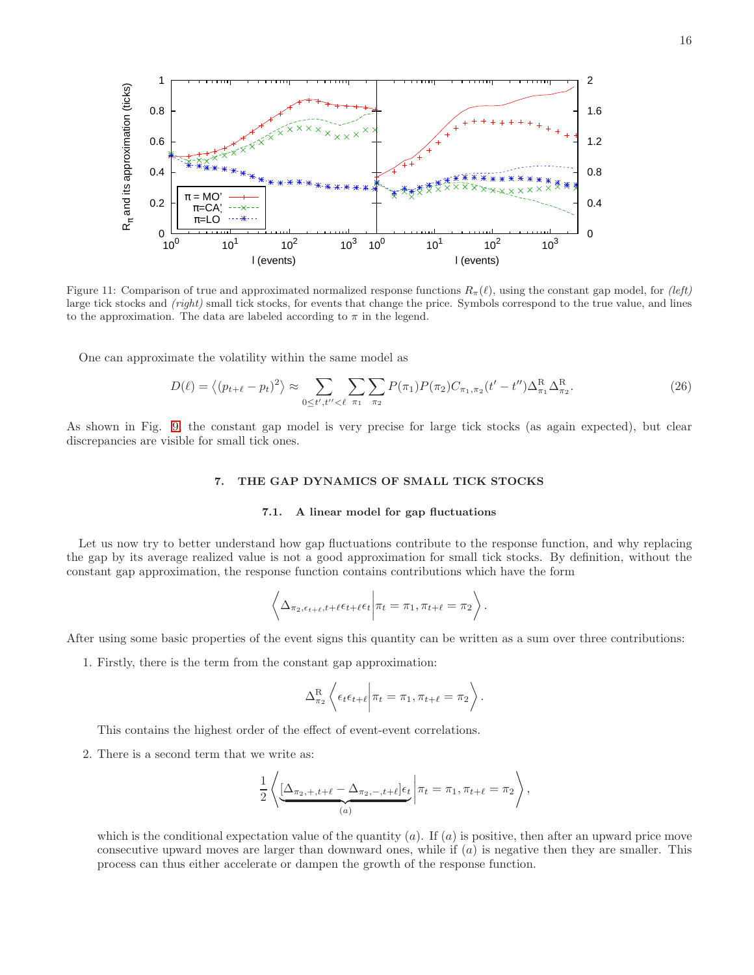

<span id="page-15-2"></span>Figure 11: Comparison of true and approximated normalized response functions  $R_{\pi}(\ell)$ , using the constant gap model, for (left) large tick stocks and (right) small tick stocks, for events that change the price. Symbols correspond to the true value, and lines to the approximation. The data are labeled according to  $\pi$  in the legend.

One can approximate the volatility within the same model as

$$
D(\ell) = \langle (p_{t+\ell} - p_t)^2 \rangle \approx \sum_{0 \le t', t'' < \ell} \sum_{\pi_1} \sum_{\pi_2} P(\pi_1) P(\pi_2) C_{\pi_1, \pi_2} (t' - t'') \Delta_{\pi_1}^R \Delta_{\pi_2}^R.
$$
 (26)

As shown in Fig. [9,](#page-13-0) the constant gap model is very precise for large tick stocks (as again expected), but clear discrepancies are visible for small tick ones.

# <span id="page-15-0"></span>7. THE GAP DYNAMICS OF SMALL TICK STOCKS

### <span id="page-15-1"></span>7.1. A linear model for gap fluctuations

Let us now try to better understand how gap fluctuations contribute to the response function, and why replacing the gap by its average realized value is not a good approximation for small tick stocks. By definition, without the constant gap approximation, the response function contains contributions which have the form

$$
\left\langle \Delta_{\pi_2,\epsilon_{t+\ell},t+\ell} \epsilon_{t+\ell} \epsilon_t \middle| \pi_t = \pi_1, \pi_{t+\ell} = \pi_2 \right\rangle.
$$

After using some basic properties of the event signs this quantity can be written as a sum over three contributions:

1. Firstly, there is the term from the constant gap approximation:

$$
\Delta_{\pi_2}^{\rm R} \left\langle \epsilon_t \epsilon_{t+\ell} \middle| \pi_t = \pi_1, \pi_{t+\ell} = \pi_2 \right\rangle.
$$

This contains the highest order of the effect of event-event correlations.

2. There is a second term that we write as:

$$
\frac{1}{2}\left\langle\underbrace{[\Delta_{\pi_2,+,t+\ell}-\Delta_{\pi_2,-,t+\ell}]\epsilon_t}_{(a)}\middle|\pi_t=\pi_1,\pi_{t+\ell}=\pi_2\right\rangle,
$$

which is the conditional expectation value of the quantity  $(a)$ . If  $(a)$  is positive, then after an upward price move consecutive upward moves are larger than downward ones, while if  $(a)$  is negative then they are smaller. This process can thus either accelerate or dampen the growth of the response function.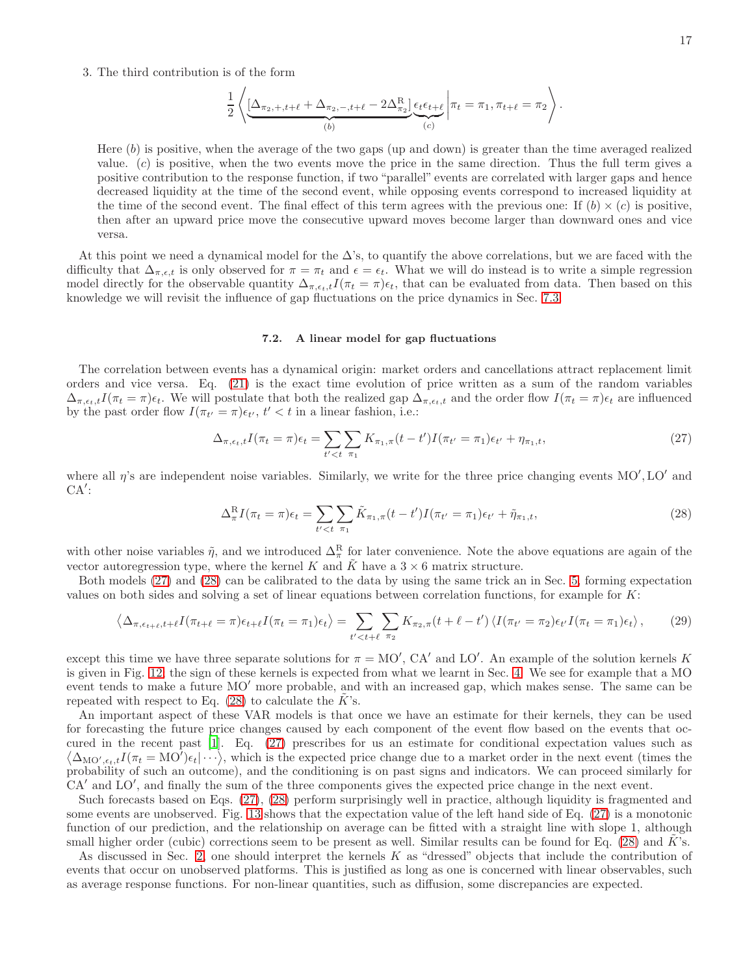3. The third contribution is of the form

$$
\frac{1}{2}\left\langle\underbrace{\left[\Delta_{\pi_2,+,t+\ell}+\Delta_{\pi_2,-,t+\ell}-2\Delta_{\pi_2}^R\right]}_{(b)}\underbrace{\epsilon_t\epsilon_{t+\ell}}_{(c)}\middle|\pi_t=\pi_1,\pi_{t+\ell}=\pi_2\right\rangle.
$$

Here (b) is positive, when the average of the two gaps (up and down) is greater than the time averaged realized value. (c) is positive, when the two events move the price in the same direction. Thus the full term gives a positive contribution to the response function, if two "parallel" events are correlated with larger gaps and hence decreased liquidity at the time of the second event, while opposing events correspond to increased liquidity at the time of the second event. The final effect of this term agrees with the previous one: If  $(b) \times (c)$  is positive, then after an upward price move the consecutive upward moves become larger than downward ones and vice versa.

At this point we need a dynamical model for the  $\Delta$ 's, to quantify the above correlations, but we are faced with the difficulty that  $\Delta_{\pi,\epsilon,t}$  is only observed for  $\pi = \pi_t$  and  $\epsilon = \epsilon_t$ . What we will do instead is to write a simple regression model directly for the observable quantity  $\Delta_{\pi,\epsilon_t,t}I(\pi_t = \pi)\epsilon_t$ , that can be evaluated from data. Then based on this knowledge we will revisit the influence of gap fluctuations on the price dynamics in Sec. [7.3.](#page-17-0)

## <span id="page-16-0"></span>7.2. A linear model for gap fluctuations

The correlation between events has a dynamical origin: market orders and cancellations attract replacement limit orders and vice versa. Eq. [\(21\)](#page-13-3) is the exact time evolution of price written as a sum of the random variables  $\Delta_{\pi,\epsilon_t,t}I(\pi_t = \pi)\epsilon_t$ . We will postulate that both the realized gap  $\Delta_{\pi,\epsilon_t,t}$  and the order flow  $I(\pi_t = \pi)\epsilon_t$  are influenced by the past order flow  $I(\pi_{t'} = \pi) \epsilon_{t'}, t' < t$  in a linear fashion, i.e.:

<span id="page-16-1"></span>
$$
\Delta_{\pi,\epsilon_t,t}I(\pi_t=\pi)\epsilon_t = \sum_{t'
$$

where all  $\eta$ 's are independent noise variables. Similarly, we write for the three price changing events  $MO'$ ,  $LO'$  and CA′ :

<span id="page-16-2"></span>
$$
\Delta_{\pi}^{\mathcal{R}} I(\pi_t = \pi) \epsilon_t = \sum_{t' < t} \sum_{\pi_1} \tilde{K}_{\pi_1, \pi}(t - t') I(\pi_{t'} = \pi_1) \epsilon_{t'} + \tilde{\eta}_{\pi_1, t},\tag{28}
$$

with other noise variables  $\tilde{\eta}$ , and we introduced  $\Delta_{\pi}^{\rm R}$  for later convenience. Note the above equations are again of the vector autoregression type, where the kernel K and  $\tilde{K}$  have a  $3 \times 6$  matrix structure.

Both models [\(27\)](#page-16-1) and [\(28\)](#page-16-2) can be calibrated to the data by using the same trick an in Sec. [5,](#page-11-0) forming expectation values on both sides and solving a set of linear equations between correlation functions, for example for  $K$ :

$$
\left\langle \Delta_{\pi,\epsilon_{t+\ell},t+\ell}I(\pi_{t+\ell}=\pi)\epsilon_{t+\ell}I(\pi_t=\pi_1)\epsilon_t \right\rangle = \sum_{t'
$$

except this time we have three separate solutions for  $\pi = MO'$ , CA' and LO'. An example of the solution kernels K is given in Fig. [12;](#page-17-2) the sign of these kernels is expected from what we learnt in Sec. [4.](#page-6-0) We see for example that a MO event tends to make a future MO′ more probable, and with an increased gap, which makes sense. The same can be repeated with respect to Eq.  $(28)$  to calculate the K's.

An important aspect of these VAR models is that once we have an estimate for their kernels, they can be used for forecasting the future price changes caused by each component of the event flow based on the events that occured in the recent past [\[1\]](#page-22-1). Eq. [\(27\)](#page-16-1) prescribes for us an estimate for conditional expectation values such as  $\langle \Delta_{\text{MO}',\epsilon_t,t} I(\pi_t = \text{MO}'\epsilon_t | \cdots \rangle$ , which is the expected price change due to a market order in the next event (times the probability of such an outcome), and the conditioning is on past signs and indicators. We can proceed similarly for CA' and LO', and finally the sum of the three components gives the expected price change in the next event.

Such forecasts based on Eqs. [\(27\)](#page-16-1), [\(28\)](#page-16-2) perform surprisingly well in practice, although liquidity is fragmented and some events are unobserved. Fig. [13](#page-17-3) shows that the expectation value of the left hand side of Eq. [\(27\)](#page-16-1) is a monotonic function of our prediction, and the relationship on average can be fitted with a straight line with slope 1, although small higher order (cubic) corrections seem to be present as well. Similar results can be found for Eq.  $(28)$  and K's.

As discussed in Sec. [2,](#page-2-0) one should interpret the kernels K as "dressed" objects that include the contribution of events that occur on unobserved platforms. This is justified as long as one is concerned with linear observables, such as average response functions. For non-linear quantities, such as diffusion, some discrepancies are expected.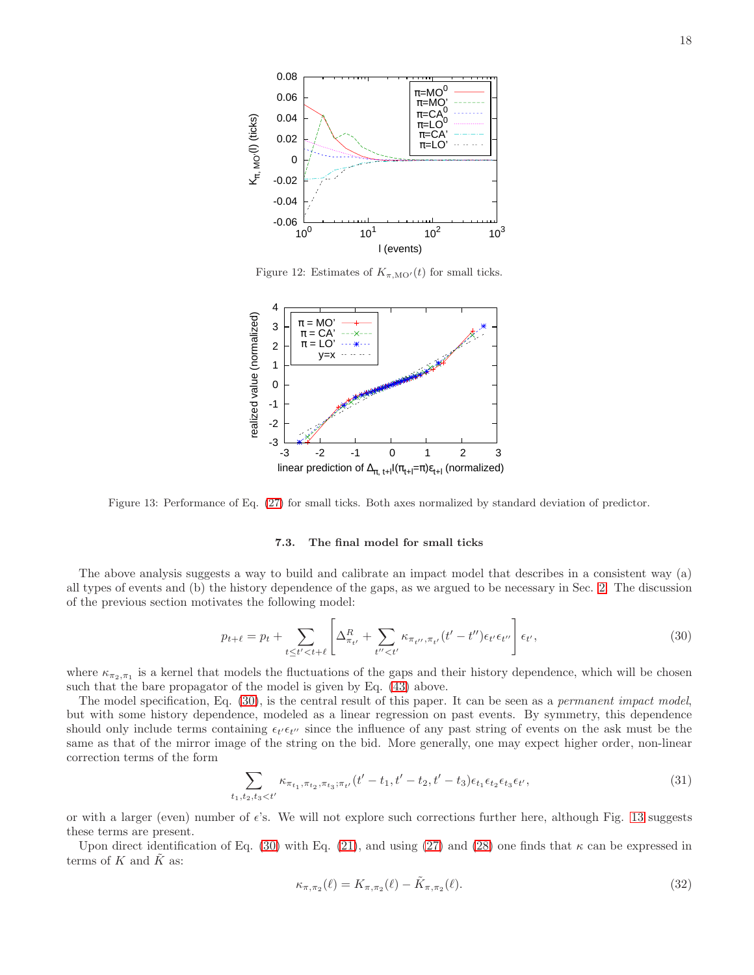

<span id="page-17-2"></span>Figure 12: Estimates of  $K_{\pi,\text{MO}'}(t)$  for small ticks.



<span id="page-17-3"></span>Figure 13: Performance of Eq. [\(27\)](#page-16-1) for small ticks. Both axes normalized by standard deviation of predictor.

## <span id="page-17-0"></span>7.3. The final model for small ticks

The above analysis suggests a way to build and calibrate an impact model that describes in a consistent way (a) all types of events and (b) the history dependence of the gaps, as we argued to be necessary in Sec. [2.](#page-2-0) The discussion of the previous section motivates the following model:

<span id="page-17-1"></span>
$$
p_{t+\ell} = p_t + \sum_{t \le t' < t+\ell} \left[ \Delta_{\pi_{t'}}^R + \sum_{t'' < t'} \kappa_{\pi_{t''}, \pi_{t'}} (t' - t'') \epsilon_{t'} \epsilon_{t''} \right] \epsilon_{t'}, \tag{30}
$$

where  $\kappa_{\pi_2,\pi_1}$  is a kernel that models the fluctuations of the gaps and their history dependence, which will be chosen such that the bare propagator of the model is given by Eq. [\(43\)](#page-21-1) above.

The model specification, Eq. [\(30\)](#page-17-1), is the central result of this paper. It can be seen as a permanent impact model, but with some history dependence, modeled as a linear regression on past events. By symmetry, this dependence should only include terms containing  $\epsilon_{t'}\epsilon_{t''}$  since the influence of any past string of events on the ask must be the same as that of the mirror image of the string on the bid. More generally, one may expect higher order, non-linear correction terms of the form

$$
\sum_{t_1, t_2, t_3 < t'} \kappa_{\pi_{t_1}, \pi_{t_2}, \pi_{t_3}; \pi_{t'}}(t'-t_1, t'-t_2, t'-t_3) \epsilon_{t_1} \epsilon_{t_2} \epsilon_{t_3} \epsilon_{t'},
$$
\n(31)

or with a larger (even) number of  $\epsilon$ 's. We will not explore such corrections further here, although Fig. [13](#page-17-3) suggests these terms are present.

Upon direct identification of Eq. [\(30\)](#page-17-1) with Eq. [\(21\)](#page-13-3), and using [\(27\)](#page-16-1) and [\(28\)](#page-16-2) one finds that  $\kappa$  can be expressed in terms of K and  $\tilde{K}$  as:

<span id="page-17-4"></span>
$$
\kappa_{\pi,\pi_2}(\ell) = K_{\pi,\pi_2}(\ell) - \tilde{K}_{\pi,\pi_2}(\ell). \tag{32}
$$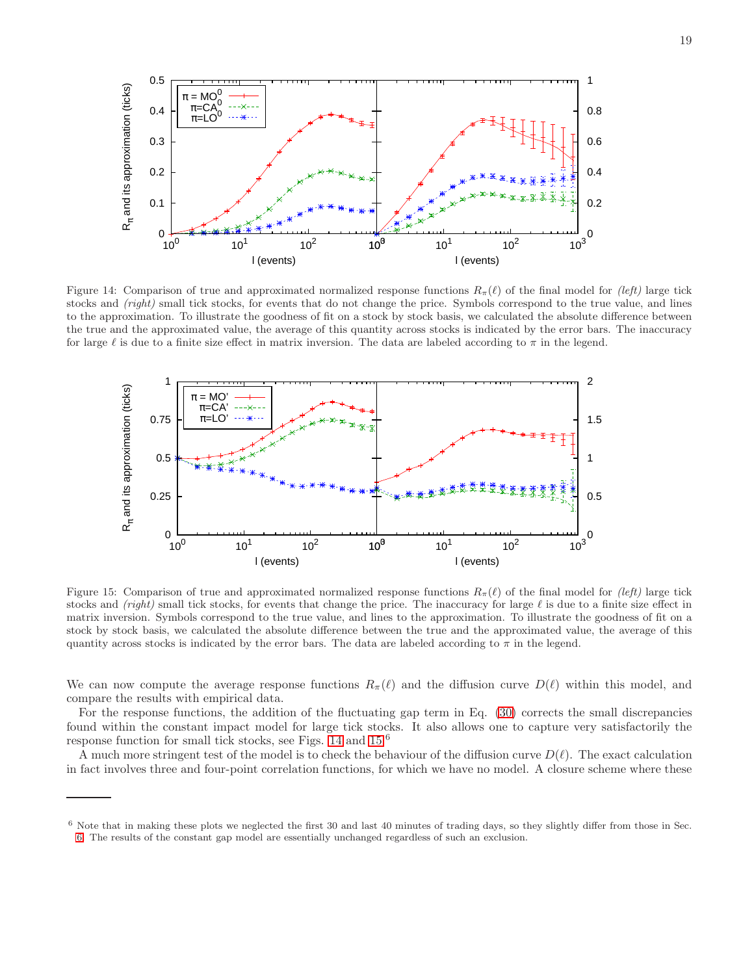

<span id="page-18-0"></span>Figure 14: Comparison of true and approximated normalized response functions  $R_{\pi}(\ell)$  of the final model for (left) large tick stocks and (right) small tick stocks, for events that do not change the price. Symbols correspond to the true value, and lines to the approximation. To illustrate the goodness of fit on a stock by stock basis, we calculated the absolute difference between the true and the approximated value, the average of this quantity across stocks is indicated by the error bars. The inaccuracy for large  $\ell$  is due to a finite size effect in matrix inversion. The data are labeled according to  $\pi$  in the legend.



<span id="page-18-1"></span>Figure 15: Comparison of true and approximated normalized response functions  $R_{\pi}(\ell)$  of the final model for (left) large tick stocks and (right) small tick stocks, for events that change the price. The inaccuracy for large  $\ell$  is due to a finite size effect in matrix inversion. Symbols correspond to the true value, and lines to the approximation. To illustrate the goodness of fit on a stock by stock basis, we calculated the absolute difference between the true and the approximated value, the average of this quantity across stocks is indicated by the error bars. The data are labeled according to  $\pi$  in the legend.

We can now compute the average response functions  $R_{\pi}(\ell)$  and the diffusion curve  $D(\ell)$  within this model, and compare the results with empirical data.

For the response functions, the addition of the fluctuating gap term in Eq. [\(30\)](#page-17-1) corrects the small discrepancies found within the constant impact model for large tick stocks. It also allows one to capture very satisfactorily the response function for small tick stocks, see Figs. [14](#page-18-0) and [15.](#page-18-1)<sup>6</sup>

A much more stringent test of the model is to check the behaviour of the diffusion curve  $D(\ell)$ . The exact calculation in fact involves three and four-point correlation functions, for which we have no model. A closure scheme where these

<sup>6</sup> Note that in making these plots we neglected the first 30 and last 40 minutes of trading days, so they slightly differ from those in Sec. [6.](#page-12-0) The results of the constant gap model are essentially unchanged regardless of such an exclusion.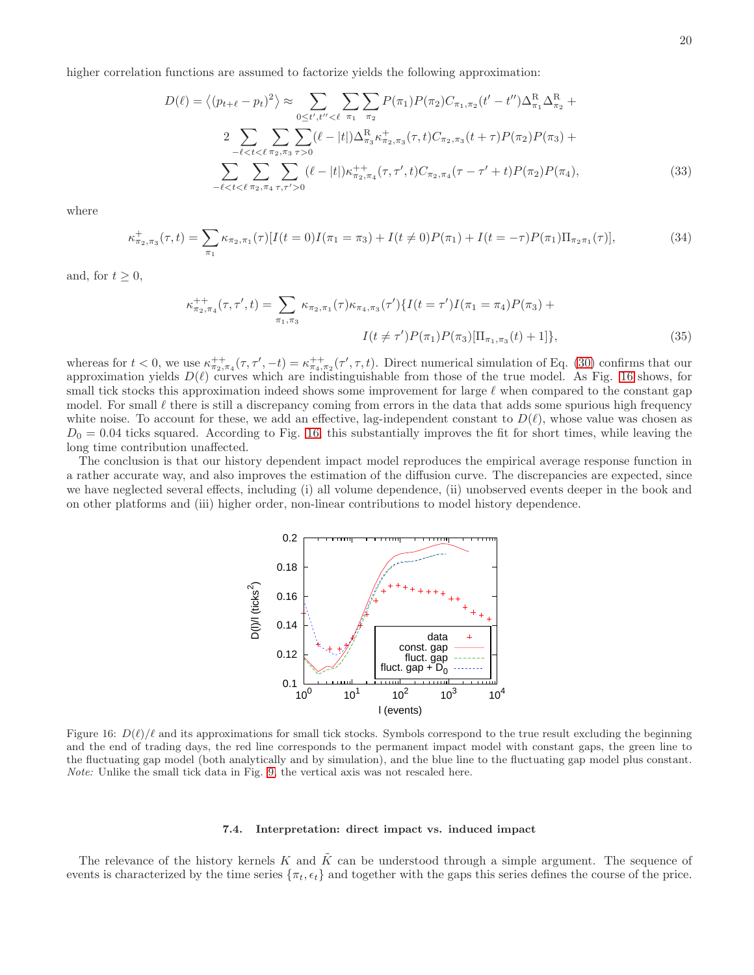higher correlation functions are assumed to factorize yields the following approximation:

$$
D(\ell) = \left\langle (p_{t+\ell} - p_t)^2 \right\rangle \approx \sum_{0 \le t', t'' < \ell} \sum_{\pi_1} \sum_{\pi_2} P(\pi_1) P(\pi_2) C_{\pi_1, \pi_2} (t' - t'') \Delta_{\pi_1}^R \Delta_{\pi_2}^R + 2 \sum_{-\ell < t < \ell} \sum_{\pi_2, \pi_3} \sum_{\tau > 0} (\ell - |t|) \Delta_{\pi_3}^R \kappa_{\pi_2, \pi_3}^+( \tau, t) C_{\pi_2, \pi_3} (t + \tau) P(\pi_2) P(\pi_3) + \sum_{-\ell < t < \ell} \sum_{\pi_2, \pi_4} \sum_{\tau, \tau' > 0} (\ell - |t|) \kappa_{\pi_2, \pi_4}^{++} (\tau, \tau', t) C_{\pi_2, \pi_4} (\tau - \tau' + t) P(\pi_2) P(\pi_4), \tag{33}
$$

where

$$
\kappa_{\pi_2,\pi_3}^+(\tau,t) = \sum_{\pi_1} \kappa_{\pi_2,\pi_1}(\tau) [I(t=0)I(\pi_1=\pi_3) + I(t\neq 0)P(\pi_1) + I(t=-\tau)P(\pi_1)\Pi_{\pi_2\pi_1}(\tau)],\tag{34}
$$

and, for  $t \geq 0$ ,

$$
\kappa_{\pi_2,\pi_4}^{++}(\tau,\tau',t) = \sum_{\pi_1,\pi_3} \kappa_{\pi_2,\pi_1}(\tau) \kappa_{\pi_4,\pi_3}(\tau') \{ I(t=\tau')I(\pi_1=\pi_4)P(\pi_3) + I(t \neq \tau')P(\pi_1)P(\pi_3) [\Pi_{\pi_1,\pi_3}(t)+1] \},
$$
\n(35)

whereas for  $t < 0$ , we use  $\kappa^{++}_{\pi_2, \pi_4}(\tau, \tau', -t) = \kappa^{++}_{\pi_4, \pi_2}(\tau', \tau, t)$ . Direct numerical simulation of Eq. [\(30\)](#page-17-1) confirms that our approximation yields  $D(\ell)$  curves which are indistinguishable from those of the true model. As Fig. [16](#page-19-1) shows, for small tick stocks this approximation indeed shows some improvement for large  $\ell$  when compared to the constant gap model. For small  $\ell$  there is still a discrepancy coming from errors in the data that adds some spurious high frequency white noise. To account for these, we add an effective, lag-independent constant to  $D(\ell)$ , whose value was chosen as  $D_0 = 0.04$  ticks squared. According to Fig. [16,](#page-19-1) this substantially improves the fit for short times, while leaving the long time contribution unaffected.

The conclusion is that our history dependent impact model reproduces the empirical average response function in a rather accurate way, and also improves the estimation of the diffusion curve. The discrepancies are expected, since we have neglected several effects, including (i) all volume dependence, (ii) unobserved events deeper in the book and on other platforms and (iii) higher order, non-linear contributions to model history dependence.



<span id="page-19-1"></span>Figure 16:  $D(\ell)/\ell$  and its approximations for small tick stocks. Symbols correspond to the true result excluding the beginning and the end of trading days, the red line corresponds to the permanent impact model with constant gaps, the green line to the fluctuating gap model (both analytically and by simulation), and the blue line to the fluctuating gap model plus constant. Note: Unlike the small tick data in Fig. [9,](#page-13-0) the vertical axis was not rescaled here.

#### <span id="page-19-0"></span>7.4. Interpretation: direct impact vs. induced impact

The relevance of the history kernels K and  $\tilde{K}$  can be understood through a simple argument. The sequence of events is characterized by the time series  $\{\pi_t, \epsilon_t\}$  and together with the gaps this series defines the course of the price.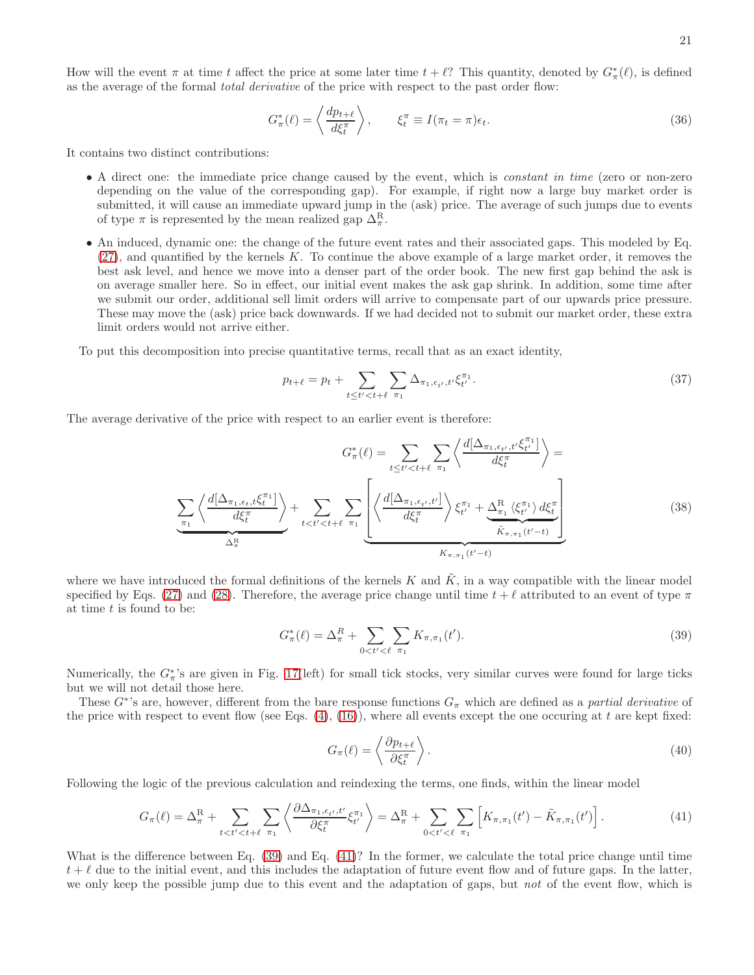21

How will the event  $\pi$  at time t affect the price at some later time  $t + \ell$ ? This quantity, denoted by  $G^*_{\pi}(\ell)$ , is defined as the average of the formal total derivative of the price with respect to the past order flow:

$$
G_{\pi}^*(\ell) = \left\langle \frac{dp_{t+\ell}}{d\xi_t^{\pi}} \right\rangle, \qquad \xi_t^{\pi} \equiv I(\pi_t = \pi)\epsilon_t.
$$
\n(36)

It contains two distinct contributions:

- A direct one: the immediate price change caused by the event, which is *constant in time* (zero or non-zero depending on the value of the corresponding gap). For example, if right now a large buy market order is submitted, it will cause an immediate upward jump in the (ask) price. The average of such jumps due to events of type  $\pi$  is represented by the mean realized gap  $\Delta_{\pi}^{\text{R}}$ .
- An induced, dynamic one: the change of the future event rates and their associated gaps. This modeled by Eq.  $(27)$ , and quantified by the kernels K. To continue the above example of a large market order, it removes the best ask level, and hence we move into a denser part of the order book. The new first gap behind the ask is on average smaller here. So in effect, our initial event makes the ask gap shrink. In addition, some time after we submit our order, additional sell limit orders will arrive to compensate part of our upwards price pressure. These may move the (ask) price back downwards. If we had decided not to submit our market order, these extra limit orders would not arrive either.
- To put this decomposition into precise quantitative terms, recall that as an exact identity,

$$
p_{t+\ell} = p_t + \sum_{t \le t' < t+\ell} \sum_{\pi_1} \Delta_{\pi_1, \epsilon_{t'}, t'} \xi_{t'}^{\pi_1}.\tag{37}
$$

The average derivative of the price with respect to an earlier event is therefore:

$$
G_{\pi}^{*}(\ell) = \sum_{t \le t' < t+\ell} \sum_{\pi_1} \left\langle \frac{d[\Delta_{\pi_1, \epsilon_{t'}, t'} \xi_{t'}^{\pi_1}]}{d\xi_t^{\pi}} \right\rangle = \sum_{t \le t' < t+\ell} \sum_{\pi_1} \left[ \left\langle \frac{d[\Delta_{\pi_1, \epsilon_{t'}, t'}]}{d\xi_t^{\pi}} \right\rangle \xi_{t'}^{\pi_1} + \underbrace{\Delta_{\pi_1}^{\mathcal{R}} \langle \xi_{t'}^{\pi_1} \rangle d\xi_t^{\pi}}_{\tilde{K}_{\pi, \pi_1}(t'-t)} \right] \right]
$$
(38)

where we have introduced the formal definitions of the kernels K and  $\tilde{K}$ , in a way compatible with the linear model specified by Eqs. [\(27\)](#page-16-1) and [\(28\)](#page-16-2). Therefore, the average price change until time  $t + \ell$  attributed to an event of type  $\pi$ at time  $t$  is found to be:

<span id="page-20-0"></span>
$$
G_{\pi}^*(\ell) = \Delta_{\pi}^R + \sum_{0 < t' < \ell} \sum_{\pi_1} K_{\pi, \pi_1}(t'). \tag{39}
$$

Numerically, the  $G^*_{\pi}$ 's are given in Fig. [17\(](#page-21-2)left) for small tick stocks, very similar curves were found for large ticks but we will not detail those here.

These  $G^*$ 's are, however, different from the bare response functions  $G_\pi$  which are defined as a *partial derivative* of the price with respect to event flow (see Eqs.  $(4)$ ,  $(16)$ ), where all events except the one occuring at t are kept fixed:

$$
G_{\pi}(\ell) = \left\langle \frac{\partial p_{t+\ell}}{\partial \xi_t^{\pi}} \right\rangle. \tag{40}
$$

Following the logic of the previous calculation and reindexing the terms, one finds, within the linear model

<span id="page-20-1"></span>
$$
G_{\pi}(\ell) = \Delta_{\pi}^{\mathcal{R}} + \sum_{t < t' < t + \ell} \sum_{\pi_1} \left\langle \frac{\partial \Delta_{\pi_1, \epsilon_{t'}, t'}}{\partial \xi_t^{\pi}} \xi_{t'}^{\pi_1} \right\rangle = \Delta_{\pi}^{\mathcal{R}} + \sum_{0 < t' < \ell} \sum_{\pi_1} \left[ K_{\pi, \pi_1}(t') - \tilde{K}_{\pi, \pi_1}(t') \right]. \tag{41}
$$

What is the difference between Eq. [\(39\)](#page-20-0) and Eq. [\(41\)](#page-20-1)? In the former, we calculate the total price change until time  $t + \ell$  due to the initial event, and this includes the adaptation of future event flow and of future gaps. In the latter, we only keep the possible jump due to this event and the adaptation of gaps, but not of the event flow, which is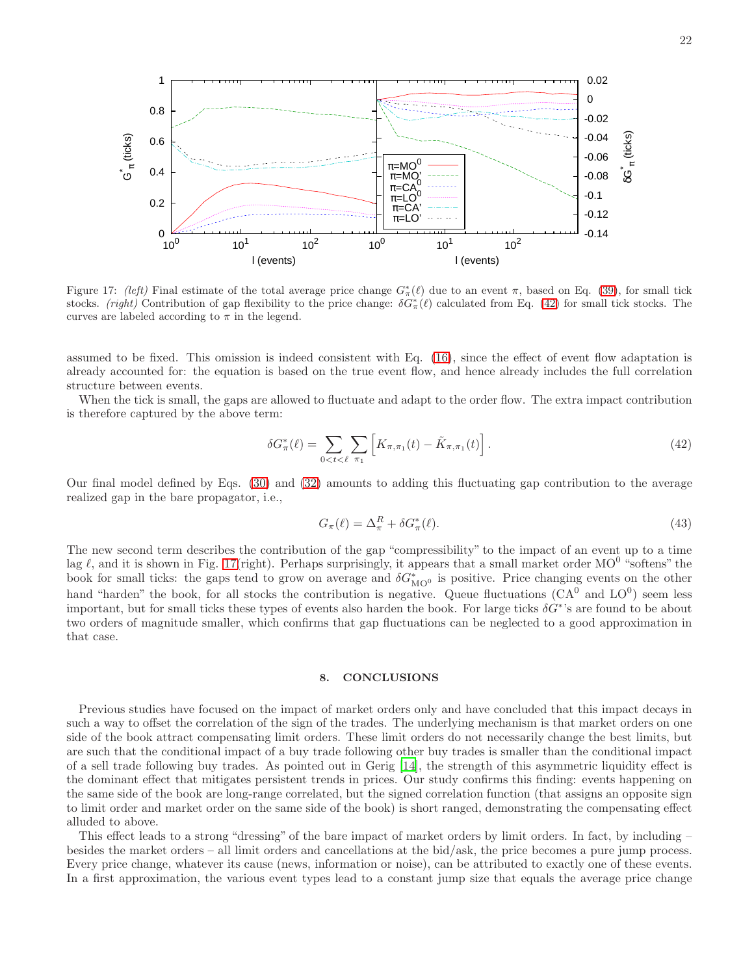

<span id="page-21-2"></span>Figure 17: (left) Final estimate of the total average price change  $G^*_{\pi}(\ell)$  due to an event  $\pi$ , based on Eq. [\(39\)](#page-20-0), for small tick stocks. (right) Contribution of gap flexibility to the price change:  $\delta G^*_{\pi}(\ell)$  calculated from Eq. [\(42\)](#page-21-3) for small tick stocks. The curves are labeled according to  $\pi$  in the legend.

assumed to be fixed. This omission is indeed consistent with Eq. [\(16\)](#page-11-1), since the effect of event flow adaptation is already accounted for: the equation is based on the true event flow, and hence already includes the full correlation structure between events.

When the tick is small, the gaps are allowed to fluctuate and adapt to the order flow. The extra impact contribution is therefore captured by the above term:

<span id="page-21-3"></span>
$$
\delta G_{\pi}^{*}(\ell) = \sum_{0 < t < \ell} \sum_{\pi_1} \left[ K_{\pi, \pi_1}(t) - \tilde{K}_{\pi, \pi_1}(t) \right]. \tag{42}
$$

Our final model defined by Eqs. [\(30\)](#page-17-1) and [\(32\)](#page-17-4) amounts to adding this fluctuating gap contribution to the average realized gap in the bare propagator, i.e.,

<span id="page-21-1"></span>
$$
G_{\pi}(\ell) = \Delta_{\pi}^{R} + \delta G_{\pi}^{*}(\ell). \tag{43}
$$

The new second term describes the contribution of the gap "compressibility" to the impact of an event up to a time lag  $\ell$ , and it is shown in Fig. [17\(](#page-21-2)right). Perhaps surprisingly, it appears that a small market order MO<sup>0</sup> "softens" the book for small ticks: the gaps tend to grow on average and  $\delta G_{\text{MO}^0}^*$  is positive. Price changing events on the other hand "harden" the book, for all stocks the contribution is negative. Queue fluctuations  $(CA^0$  and  $LO^0)$  seem less important, but for small ticks these types of events also harden the book. For large ticks  $\delta G^*$ 's are found to be about two orders of magnitude smaller, which confirms that gap fluctuations can be neglected to a good approximation in that case.

# <span id="page-21-0"></span>8. CONCLUSIONS

Previous studies have focused on the impact of market orders only and have concluded that this impact decays in such a way to offset the correlation of the sign of the trades. The underlying mechanism is that market orders on one side of the book attract compensating limit orders. These limit orders do not necessarily change the best limits, but are such that the conditional impact of a buy trade following other buy trades is smaller than the conditional impact of a sell trade following buy trades. As pointed out in Gerig [\[14](#page-22-12)], the strength of this asymmetric liquidity effect is the dominant effect that mitigates persistent trends in prices. Our study confirms this finding: events happening on the same side of the book are long-range correlated, but the signed correlation function (that assigns an opposite sign to limit order and market order on the same side of the book) is short ranged, demonstrating the compensating effect alluded to above.

This effect leads to a strong "dressing" of the bare impact of market orders by limit orders. In fact, by including – besides the market orders – all limit orders and cancellations at the bid/ask, the price becomes a pure jump process. Every price change, whatever its cause (news, information or noise), can be attributed to exactly one of these events. In a first approximation, the various event types lead to a constant jump size that equals the average price change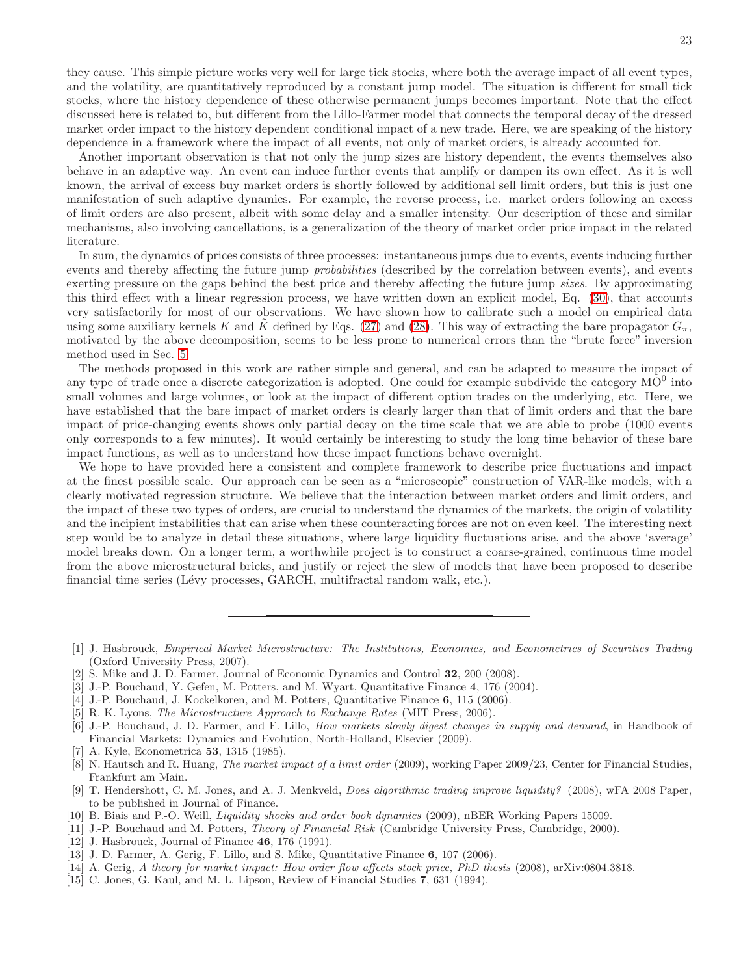they cause. This simple picture works very well for large tick stocks, where both the average impact of all event types, and the volatility, are quantitatively reproduced by a constant jump model. The situation is different for small tick stocks, where the history dependence of these otherwise permanent jumps becomes important. Note that the effect discussed here is related to, but different from the Lillo-Farmer model that connects the temporal decay of the dressed market order impact to the history dependent conditional impact of a new trade. Here, we are speaking of the history dependence in a framework where the impact of all events, not only of market orders, is already accounted for.

Another important observation is that not only the jump sizes are history dependent, the events themselves also behave in an adaptive way. An event can induce further events that amplify or dampen its own effect. As it is well known, the arrival of excess buy market orders is shortly followed by additional sell limit orders, but this is just one manifestation of such adaptive dynamics. For example, the reverse process, i.e. market orders following an excess of limit orders are also present, albeit with some delay and a smaller intensity. Our description of these and similar mechanisms, also involving cancellations, is a generalization of the theory of market order price impact in the related literature.

In sum, the dynamics of prices consists of three processes: instantaneous jumps due to events, events inducing further events and thereby affecting the future jump probabilities (described by the correlation between events), and events exerting pressure on the gaps behind the best price and thereby affecting the future jump sizes. By approximating this third effect with a linear regression process, we have written down an explicit model, Eq. [\(30\)](#page-17-1), that accounts very satisfactorily for most of our observations. We have shown how to calibrate such a model on empirical data using some auxiliary kernels K and K defined by Eqs. [\(27\)](#page-16-1) and [\(28\)](#page-16-2). This way of extracting the bare propagator  $G_\pi$ , motivated by the above decomposition, seems to be less prone to numerical errors than the "brute force" inversion method used in Sec. [5.](#page-11-0)

The methods proposed in this work are rather simple and general, and can be adapted to measure the impact of any type of trade once a discrete categorization is adopted. One could for example subdivide the category  $\overline{MO}^0$  into small volumes and large volumes, or look at the impact of different option trades on the underlying, etc. Here, we have established that the bare impact of market orders is clearly larger than that of limit orders and that the bare impact of price-changing events shows only partial decay on the time scale that we are able to probe (1000 events only corresponds to a few minutes). It would certainly be interesting to study the long time behavior of these bare impact functions, as well as to understand how these impact functions behave overnight.

We hope to have provided here a consistent and complete framework to describe price fluctuations and impact at the finest possible scale. Our approach can be seen as a "microscopic" construction of VAR-like models, with a clearly motivated regression structure. We believe that the interaction between market orders and limit orders, and the impact of these two types of orders, are crucial to understand the dynamics of the markets, the origin of volatility and the incipient instabilities that can arise when these counteracting forces are not on even keel. The interesting next step would be to analyze in detail these situations, where large liquidity fluctuations arise, and the above 'average' model breaks down. On a longer term, a worthwhile project is to construct a coarse-grained, continuous time model from the above microstructural bricks, and justify or reject the slew of models that have been proposed to describe financial time series (Lévy processes, GARCH, multifractal random walk, etc.).

[5] R. K. Lyons, The Microstructure Approach to Exchange Rates (MIT Press, 2006).

<span id="page-22-3"></span>[7] A. Kyle, Econometrica 53, 1315 (1985).

- <span id="page-22-5"></span>[9] T. Hendershott, C. M. Jones, and A. J. Menkveld, Does algorithmic trading improve liquidity? (2008), wFA 2008 Paper, to be published in Journal of Finance.
- <span id="page-22-6"></span>[10] B. Biais and P.-O. Weill, Liquidity shocks and order book dynamics (2009), nBER Working Papers 15009.

- <span id="page-22-9"></span>[12] J. Hasbrouck, Journal of Finance **46**, 176 (1991).
- <span id="page-22-11"></span>[13] J. D. Farmer, A. Gerig, F. Lillo, and S. Mike, Quantitative Finance 6, 107 (2006).
- <span id="page-22-12"></span>[14] A. Gerig, A theory for market impact: How order flow affects stock price, PhD thesis (2008), arXiv:0804.3818.
- <span id="page-22-13"></span>[15] C. Jones, G. Kaul, and M. L. Lipson, Review of Financial Studies 7, 631 (1994).

<span id="page-22-1"></span><span id="page-22-0"></span><sup>[1]</sup> J. Hasbrouck, Empirical Market Microstructure: The Institutions, Economics, and Econometrics of Securities Trading (Oxford University Press, 2007).

<sup>[2]</sup> S. Mike and J. D. Farmer, Journal of Economic Dynamics and Control 32, 200 (2008).

<span id="page-22-7"></span><sup>[3]</sup> J.-P. Bouchaud, Y. Gefen, M. Potters, and M. Wyart, Quantitative Finance 4, 176 (2004).

<span id="page-22-8"></span><sup>[4]</sup> J.-P. Bouchaud, J. Kockelkoren, and M. Potters, Quantitative Finance 6, 115 (2006).

<span id="page-22-2"></span><sup>[6]</sup> J.-P. Bouchaud, J. D. Farmer, and F. Lillo, *How markets slowly digest changes in supply and demand*, in Handbook of Financial Markets: Dynamics and Evolution, North-Holland, Elsevier (2009).

<span id="page-22-4"></span><sup>[8]</sup> N. Hautsch and R. Huang, The market impact of a limit order (2009), working Paper 2009/23, Center for Financial Studies, Frankfurt am Main.

<span id="page-22-10"></span><sup>[11]</sup> J.-P. Bouchaud and M. Potters, *Theory of Financial Risk* (Cambridge University Press, Cambridge, 2000).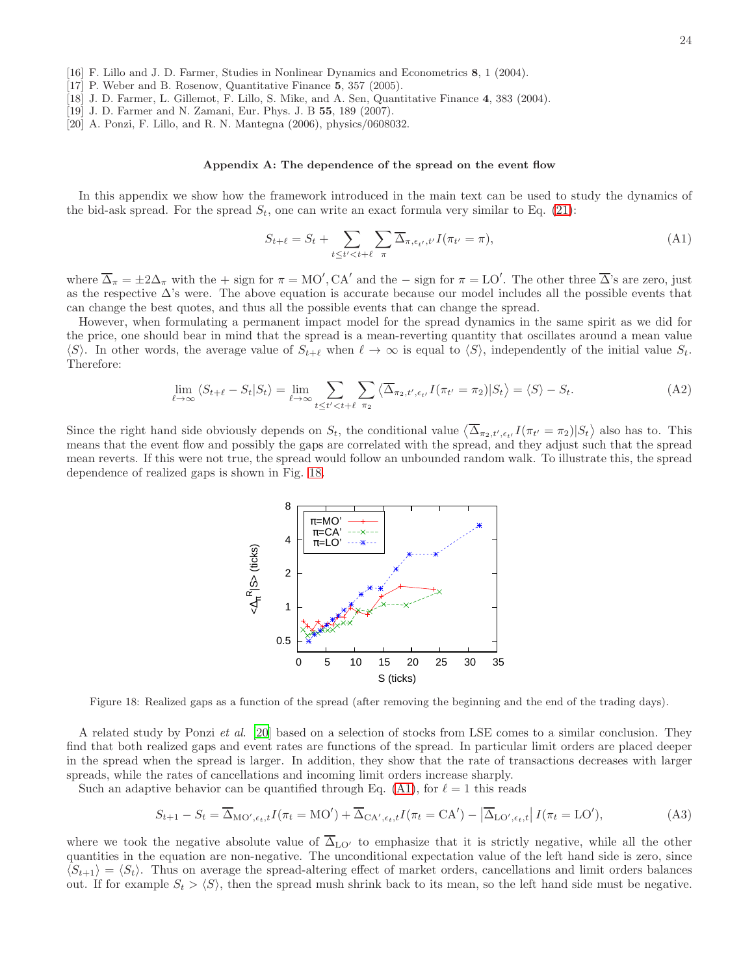- <span id="page-23-1"></span>[16] F. Lillo and J. D. Farmer, Studies in Nonlinear Dynamics and Econometrics 8, 1 (2004).
- <span id="page-23-2"></span>[17] P. Weber and B. Rosenow, Quantitative Finance 5, 357 (2005).
- <span id="page-23-3"></span>[18] J. D. Farmer, L. Gillemot, F. Lillo, S. Mike, and A. Sen, Quantitative Finance 4, 383 (2004).
- <span id="page-23-4"></span>[19] J. D. Farmer and N. Zamani, Eur. Phys. J. B 55, 189 (2007).
- <span id="page-23-6"></span>[20] A. Ponzi, F. Lillo, and R. N. Mantegna (2006), physics/0608032.

#### <span id="page-23-0"></span>Appendix A: The dependence of the spread on the event flow

In this appendix we show how the framework introduced in the main text can be used to study the dynamics of the bid-ask spread. For the spread  $S_t$ , one can write an exact formula very similar to Eq. [\(21\)](#page-13-3):

<span id="page-23-7"></span>
$$
S_{t+\ell} = S_t + \sum_{t \le t' < t+\ell} \sum_{\pi} \overline{\Delta}_{\pi, \epsilon_{t'}, t'} I(\pi_{t'} = \pi), \tag{A1}
$$

where  $\overline{\Delta}_{\pi} = \pm 2\Delta_{\pi}$  with the + sign for  $\pi = \text{MO}'$ , CA' and the – sign for  $\pi = \text{LO}'$ . The other three  $\overline{\Delta}$ 's are zero, just as the respective ∆'s were. The above equation is accurate because our model includes all the possible events that can change the best quotes, and thus all the possible events that can change the spread.

However, when formulating a permanent impact model for the spread dynamics in the same spirit as we did for the price, one should bear in mind that the spread is a mean-reverting quantity that oscillates around a mean value  $\langle S \rangle$ . In other words, the average value of  $S_{t+\ell}$  when  $\ell \to \infty$  is equal to  $\langle S \rangle$ , independently of the initial value  $S_t$ . Therefore:

$$
\lim_{\ell \to \infty} \langle S_{t+\ell} - S_t | S_t \rangle = \lim_{\ell \to \infty} \sum_{t \le t' < t+\ell} \sum_{\pi_2} \langle \overline{\Delta}_{\pi_2, t', \epsilon_{t'}} I(\pi_{t'} = \pi_2) | S_t \rangle = \langle S \rangle - S_t.
$$
\n(A2)

Since the right hand side obviously depends on  $S_t$ , the conditional value  $\langle \overline{\Delta}_{\pi_2,t',\epsilon_{t'}} I(\pi_{t'} = \pi_2)|S_t\rangle$  also has to. This means that the event flow and possibly the gaps are correlated with the spread, and they adjust such that the spread mean reverts. If this were not true, the spread would follow an unbounded random walk. To illustrate this, the spread dependence of realized gaps is shown in Fig. [18.](#page-23-5)



<span id="page-23-5"></span>Figure 18: Realized gaps as a function of the spread (after removing the beginning and the end of the trading days).

A related study by Ponzi et al. [\[20](#page-23-6)] based on a selection of stocks from LSE comes to a similar conclusion. They find that both realized gaps and event rates are functions of the spread. In particular limit orders are placed deeper in the spread when the spread is larger. In addition, they show that the rate of transactions decreases with larger spreads, while the rates of cancellations and incoming limit orders increase sharply.

Such an adaptive behavior can be quantified through Eq. [\(A1\)](#page-23-7), for  $\ell = 1$  this reads

$$
S_{t+1} - S_t = \overline{\Delta}_{\text{MO}',\epsilon_t,t} I(\pi_t = \text{MO}') + \overline{\Delta}_{\text{CA}',\epsilon_t,t} I(\pi_t = \text{CA}') - |\overline{\Delta}_{\text{LO}',\epsilon_t,t}| I(\pi_t = \text{LO}'),\tag{A3}
$$

where we took the negative absolute value of  $\overline{\Delta}_{LO'}$  to emphasize that it is strictly negative, while all the other quantities in the equation are non-negative. The unconditional expectation value of the left hand side is zero, since  $\langle S_{t+1} \rangle = \langle S_t \rangle$ . Thus on average the spread-altering effect of market orders, cancellations and limit orders balances out. If for example  $S_t > \langle S \rangle$ , then the spread mush shrink back to its mean, so the left hand side must be negative.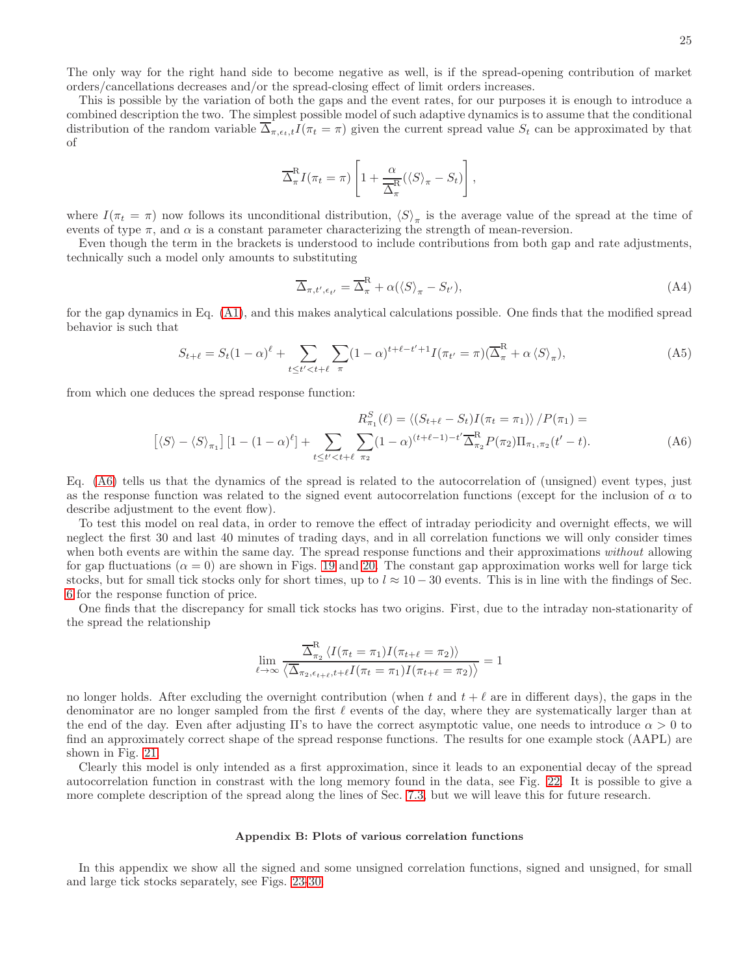The only way for the right hand side to become negative as well, is if the spread-opening contribution of market orders/cancellations decreases and/or the spread-closing effect of limit orders increases.

This is possible by the variation of both the gaps and the event rates, for our purposes it is enough to introduce a combined description the two. The simplest possible model of such adaptive dynamics is to assume that the conditional distribution of the random variable  $\overline{\Delta}_{\pi,\epsilon_t,t}I(\pi_t = \pi)$  given the current spread value  $S_t$  can be approximated by that of

$$
\overline{\Delta}_{\pi}^{\mathcal{R}} I(\pi_t = \pi) \left[ 1 + \frac{\alpha}{\overline{\Delta}_{\pi}^{\mathcal{R}}} (\langle S \rangle_{\pi} - S_t) \right],
$$

where  $I(\pi_t = \pi)$  now follows its unconditional distribution,  $\langle S \rangle_{\pi}$  is the average value of the spread at the time of events of type  $\pi$ , and  $\alpha$  is a constant parameter characterizing the strength of mean-reversion.

Even though the term in the brackets is understood to include contributions from both gap and rate adjustments, technically such a model only amounts to substituting

<span id="page-24-1"></span>
$$
\overline{\Delta}_{\pi, t', \epsilon_{t'}} = \overline{\Delta}_{\pi}^{R} + \alpha (\langle S \rangle_{\pi} - S_{t'}), \tag{A4}
$$

for the gap dynamics in Eq. [\(A1\)](#page-23-7), and this makes analytical calculations possible. One finds that the modified spread behavior is such that

$$
S_{t+\ell} = S_t (1-\alpha)^{\ell} + \sum_{t \le t' < t+\ell} \sum_{\pi} (1-\alpha)^{t+\ell-t'+1} I(\pi_{t'} = \pi) (\overline{\Delta}_{\pi}^{R} + \alpha \langle S \rangle_{\pi}), \tag{A5}
$$

from which one deduces the spread response function:

$$
R_{\pi_1}^S(\ell) = \langle (S_{t+\ell} - S_t)I(\pi_t = \pi_1) \rangle / P(\pi_1) =
$$
  

$$
[\langle S \rangle - \langle S \rangle_{\pi_1}] [1 - (1 - \alpha)^{\ell}] + \sum_{t \le t' < t+\ell} \sum_{\pi_2} (1 - \alpha)^{(t+\ell-1)-t'} \overline{\Delta}_{\pi_2}^R P(\pi_2) \Pi_{\pi_1, \pi_2}(t' - t).
$$
 (A6)

Eq. [\(A6\)](#page-24-1) tells us that the dynamics of the spread is related to the autocorrelation of (unsigned) event types, just as the response function was related to the signed event autocorrelation functions (except for the inclusion of  $\alpha$  to describe adjustment to the event flow).

To test this model on real data, in order to remove the effect of intraday periodicity and overnight effects, we will neglect the first 30 and last 40 minutes of trading days, and in all correlation functions we will only consider times when both events are within the same day. The spread response functions and their approximations *without* allowing for gap fluctuations ( $\alpha = 0$ ) are shown in Figs. [19](#page-25-0) and [20.](#page-25-1) The constant gap approximation works well for large tick stocks, but for small tick stocks only for short times, up to  $l \approx 10-30$  events. This is in line with the findings of Sec. [6](#page-12-0) for the response function of price.

One finds that the discrepancy for small tick stocks has two origins. First, due to the intraday non-stationarity of the spread the relationship

$$
\lim_{\ell \to \infty} \frac{\overline{\Delta}_{\pi_2}^{\mathcal{R}} \langle I(\pi_t = \pi_1) I(\pi_{t+\ell} = \pi_2) \rangle}{\langle \overline{\Delta}_{\pi_2, \epsilon_{t+\ell}, t+\ell} I(\pi_t = \pi_1) I(\pi_{t+\ell} = \pi_2) \rangle} = 1
$$

no longer holds. After excluding the overnight contribution (when t and  $t + \ell$  are in different days), the gaps in the denominator are no longer sampled from the first  $\ell$  events of the day, where they are systematically larger than at the end of the day. Even after adjusting Π's to have the correct asymptotic value, one needs to introduce  $\alpha > 0$  to find an approximately correct shape of the spread response functions. The results for one example stock (AAPL) are shown in Fig. [21.](#page-26-0)

Clearly this model is only intended as a first approximation, since it leads to an exponential decay of the spread autocorrelation function in constrast with the long memory found in the data, see Fig. [22.](#page-26-1) It is possible to give a more complete description of the spread along the lines of Sec. [7.3,](#page-17-0) but we will leave this for future research.

#### <span id="page-24-0"></span>Appendix B: Plots of various correlation functions

In this appendix we show all the signed and some unsigned correlation functions, signed and unsigned, for small and large tick stocks separately, see Figs. [23](#page-27-0)[-30.](#page-30-0)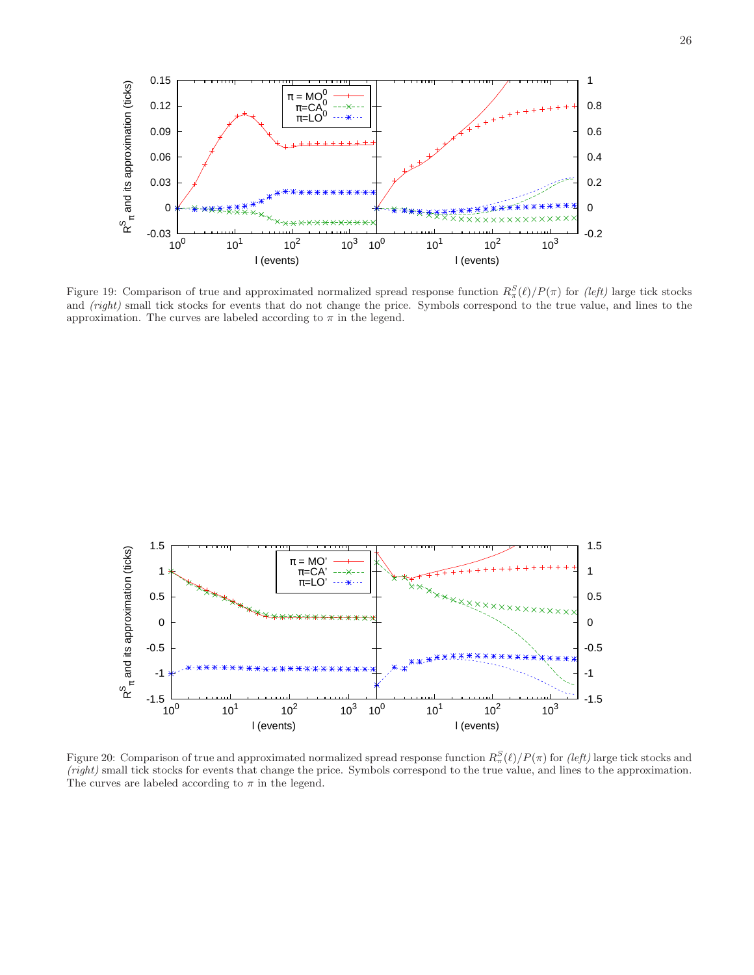

<span id="page-25-0"></span>Figure 19: Comparison of true and approximated normalized spread response function  $R_{\pi}^{S}(\ell)/P(\pi)$  for (left) large tick stocks and (right) small tick stocks for events that do not change the price. Symbols correspond to the true value, and lines to the approximation. The curves are labeled according to  $\pi$  in the legend.



<span id="page-25-1"></span>Figure 20: Comparison of true and approximated normalized spread response function  $R_\pi^S(\ell)/P(\pi)$  for (left) large tick stocks and (right) small tick stocks for events that change the price. Symbols correspond to the true value, and lines to the approximation. The curves are labeled according to  $\pi$  in the legend.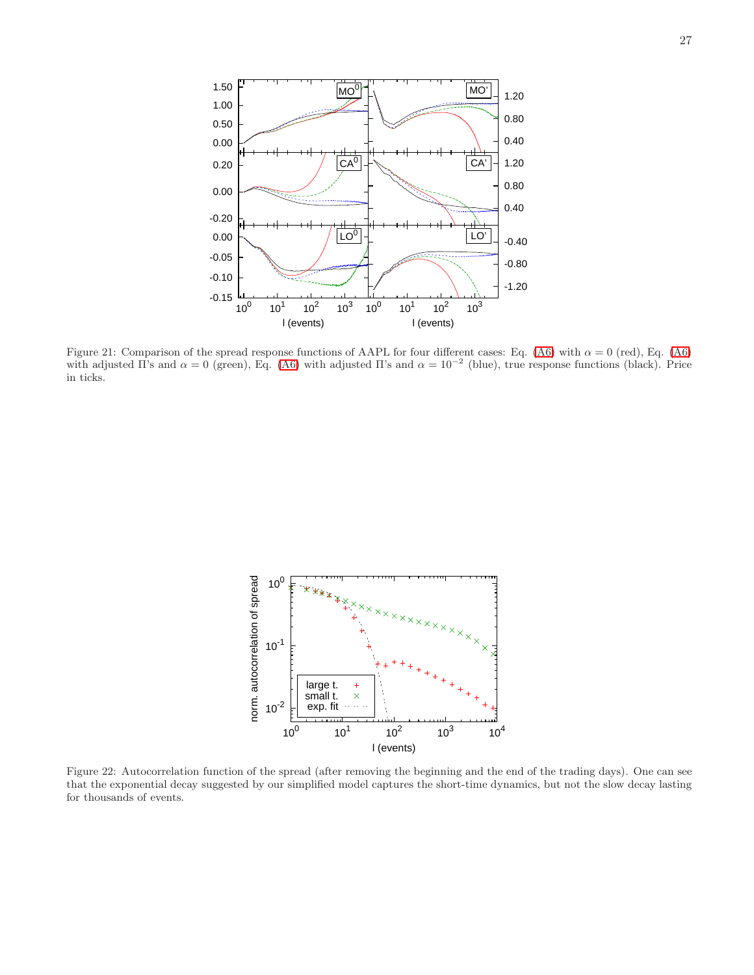

<span id="page-26-0"></span>Figure 21: Comparison of the spread response functions of AAPL for four different cases: Eq. [\(A6\)](#page-24-1) with  $\alpha = 0$  (red), Eq. (A6) with adjusted  $\Pi$ 's and  $\alpha = 0$  (green), Eq. [\(A6\)](#page-24-1) with adjusted  $\Pi$ 's and  $\alpha = 10^{-2}$  (blue), true response functions (black). Price in ticks.



<span id="page-26-1"></span>Figure 22: Autocorrelation function of the spread (after removing the beginning and the end of the trading days). One can see that the exponential decay suggested by our simplified model captures the short-time dynamics, but not the slow decay lasting for thousands of events.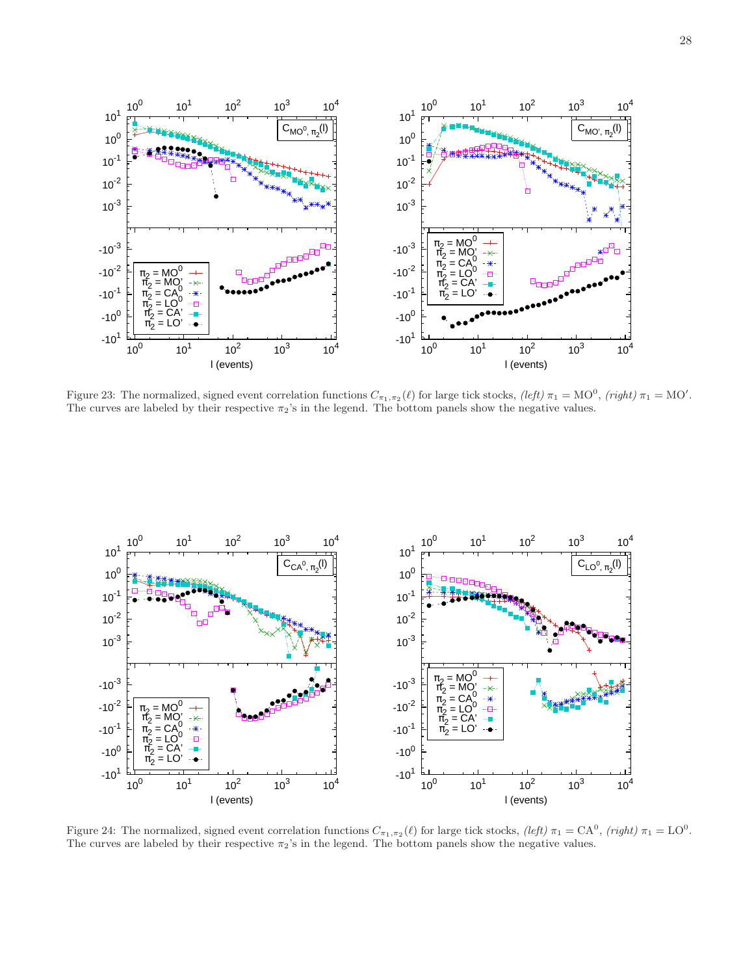

<span id="page-27-0"></span>Figure 23: The normalized, signed event correlation functions  $C_{\pi_1,\pi_2}(\ell)$  for large tick stocks,  $(left) \pi_1 = MO^0$ ,  $(right) \pi_1 = MO'$ . The curves are labeled by their respective  $\pi_2$ 's in the legend. The bottom panels show the negative values.



Figure 24: The normalized, signed event correlation functions  $C_{\pi_1,\pi_2}(\ell)$  for large tick stocks,  $(\ell eft) \pi_1 = CA^0$ ,  $(\text{right}) \pi_1 = LO^0$ . The curves are labeled by their respective  $\pi_2$ 's in the legend. The bottom panels show the negative values.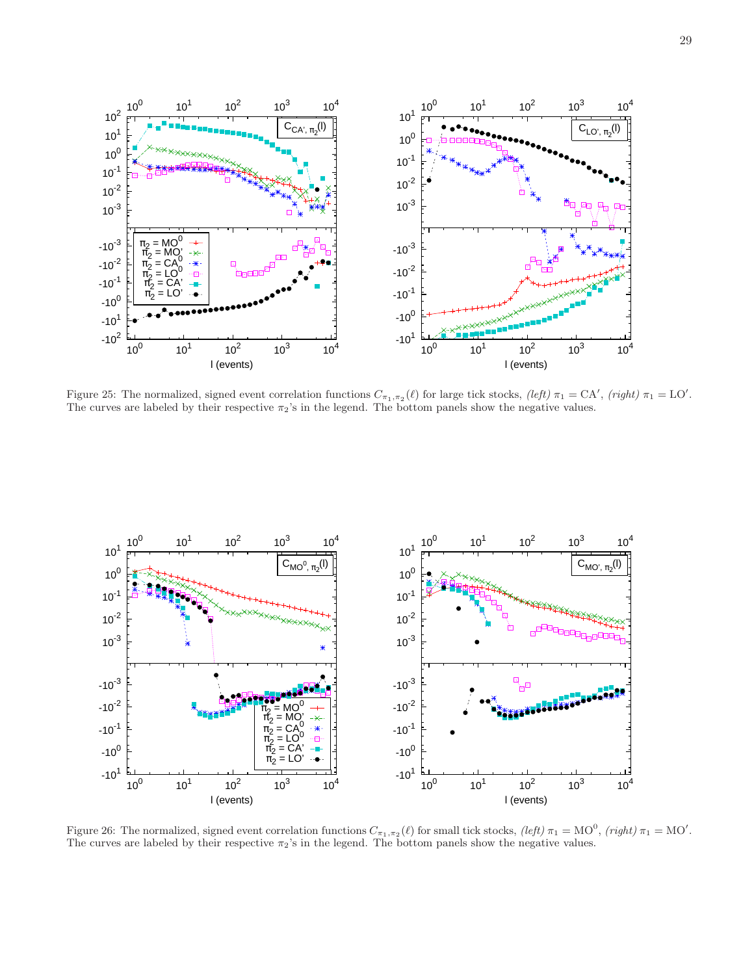

Figure 25: The normalized, signed event correlation functions  $C_{\pi_1,\pi_2}(\ell)$  for large tick stocks,  $(left) \pi_1 = CA', (right) \pi_1 = LO'.$ The curves are labeled by their respective  $\pi_2$ 's in the legend. The bottom panels show the negative values.



<span id="page-28-0"></span>Figure 26: The normalized, signed event correlation functions  $C_{\pi_1,\pi_2}(\ell)$  for small tick stocks,  $(left) \pi_1 = \text{MO}^0$ ,  $(right) \pi_1 = \text{MO}'$ . The curves are labeled by their respective  $\pi_2$ 's in the legend. The bottom panels show the negative values.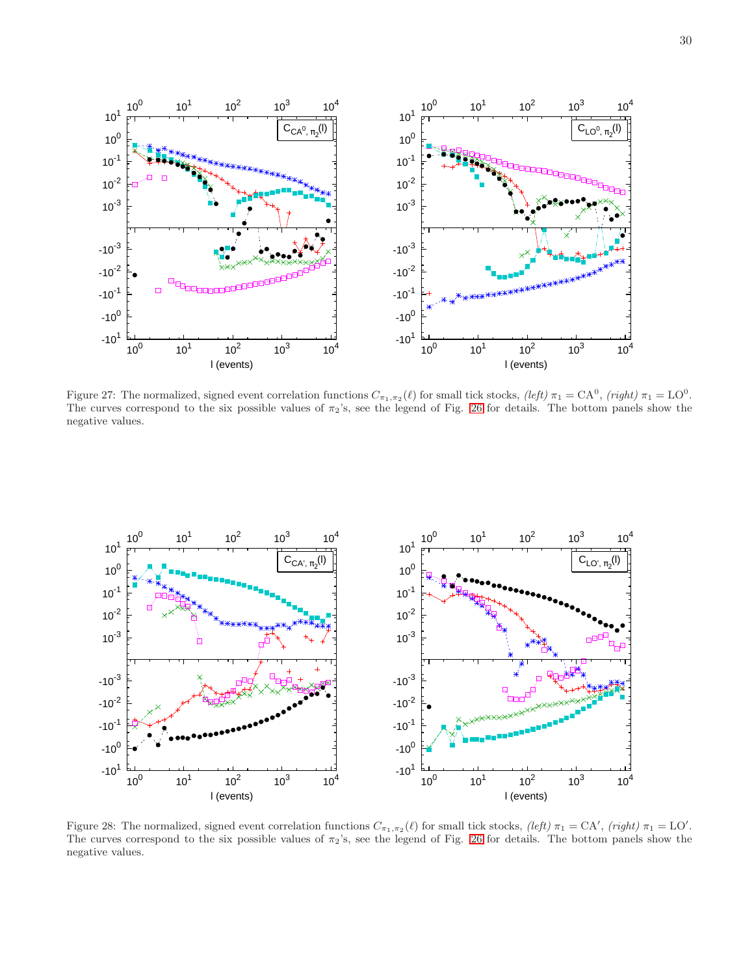

Figure 27: The normalized, signed event correlation functions  $C_{\pi_1,\pi_2}(\ell)$  for small tick stocks,  $(\ell eft) \pi_1 = CA^0$ ,  $(\text{right}) \pi_1 = LO^0$ . The curves correspond to the six possible values of  $\pi_2$ 's, see the legend of Fig. [26](#page-28-0) for details. The bottom panels show the negative values.



Figure 28: The normalized, signed event correlation functions  $C_{\pi_1,\pi_2}(\ell)$  for small tick stocks, (left)  $\pi_1 = \text{CA}'$ , (right)  $\pi_1 = \text{LO}'$ . The curves correspond to the six possible values of  $\pi_2$ 's, see the legend of Fig. [26](#page-28-0) for details. The bottom panels show the negative values.